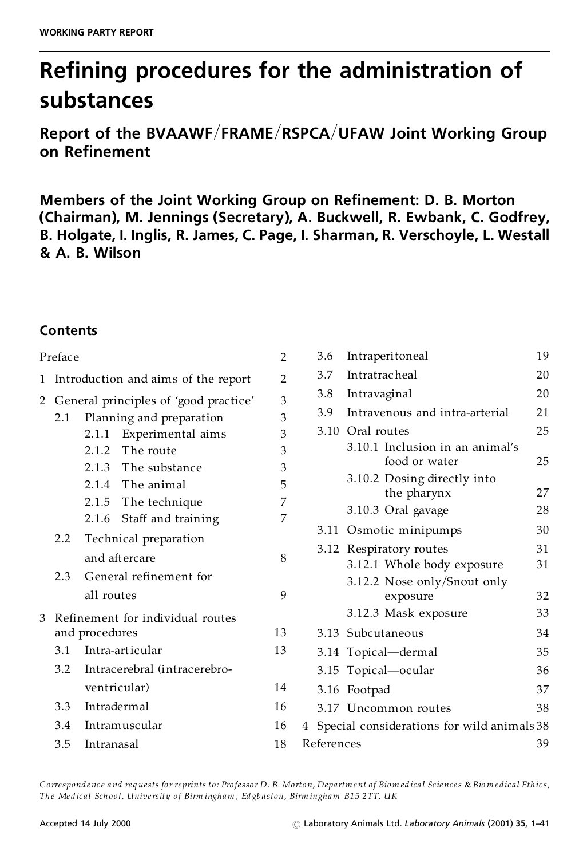# **Re ning procedures for the administration of substances**

**Report** of the BVAAWF/FRAME/RSPCA/UFAW Joint Working Group **on Re nement**

**Members of the Joint Working Group on Re nement: D. B. Morton (Chairman), M. Jennings (Secretary), A. Buckwell, R. Ewbank, C. Godfrey, B. Holgate, I. Inglis, R. James, C. Page, I. Sharman, R. Verschoyle, L. Westall & A.B. Wilson**

# **Contents**

| Preface |     |                                         | 2  | 3.6        | Intraperitoneal                                       | 19       |
|---------|-----|-----------------------------------------|----|------------|-------------------------------------------------------|----------|
|         |     | 1 Introduction and aims of the report   | 2  | 3.7        | <b>Intratracheal</b>                                  | 20       |
|         |     | 2 General principles of 'good practice' | 3  | 3.8        | Intravaginal                                          | 20       |
|         | 2.1 | Planning and preparation                | 3  | 3.9        | Intravenous and intra-arterial                        | 21       |
|         |     | Experimental aims<br>2.1.1              | 3  |            | 3.10 Oral routes                                      | 25       |
|         |     | The route<br>2.1.2                      | 3  |            | 3.10.1 Inclusion in an animal's                       |          |
|         |     | The substance<br>2.1.3                  | 3  |            | food or water                                         | 25       |
|         |     | 2.1.4 The animal                        | 5  |            | 3.10.2 Dosing directly into                           | 27       |
|         |     | 2.1.5 The technique                     | 7  |            | the pharynx<br>3.10.3 Oral gavage                     | 28       |
|         |     | Staff and training<br>2.1.6             | 7  |            |                                                       |          |
|         | 2.2 | Technical preparation                   |    |            | 3.11 Osmotic minipumps                                | 30       |
|         |     | and aftercare                           | 8  |            | 3.12 Respiratory routes<br>3.12.1 Whole body exposure | 31<br>31 |
|         | 2.3 | General refinement for                  |    |            | 3.12.2 Nose only/Snout only                           |          |
|         |     | all routes                              | 9  |            | exposure                                              | 32       |
|         |     | 3 Refinement for individual routes      |    |            | 3.12.3 Mask exposure                                  | 33       |
|         |     | and procedures                          | 13 |            | 3.13 Subcutaneous                                     | 34       |
|         | 3.1 | Intra-articular                         | 13 |            | 3.14 Topical-dermal                                   | 35       |
|         | 3.2 | Intracerebral (intracerebro-            |    |            | 3.15 Topical-ocular                                   | 36       |
|         |     | ventricular)                            | 14 |            | 3.16 Footpad                                          | 37       |
|         | 3.3 | Intradermal                             | 16 |            | 3.17 Uncommon routes                                  | 38       |
|         | 3.4 | Intramuscular                           | 16 |            | 4 Special considerations for wild animals 38          |          |
|         | 3.5 | Intranasal                              | 18 | References |                                                       | 39       |
|         |     |                                         |    |            |                                                       |          |

Correspondence and requests for reprints to: Professor D. B. Morton, Department of Biomedical Sciences & Biomedical Ethics, The Medical School, University of Birm ingham, Edgbaston, Birm ingham B15 2TT, UK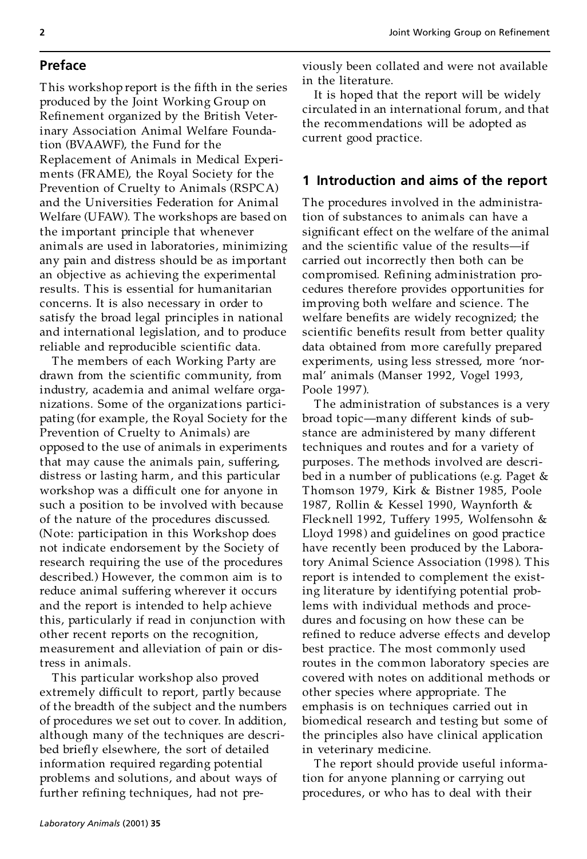## **Preface**

This workshop report is the fifth in the series produced by the Joint Working Group on Refinement organized by the British Veterinary Association Animal Welfare Foundation (BVAAWF), the Fund for the Replacement of Animals in Medical Experi ments (FRAME), the Royal Society for the Prevention of Cruelty to Animals (RSPCA) and the Universities Federation for Animal Welfare (UFAW). The workshops are based on the important principle that whenever animals are used in laboratories, minimizing any pain and distress should be as important an objective as achieving the experimental results. This is essential for humanitarian concerns. It is also necessary in order to satisfy the broad legal principles in national and international legislation, and to produce reliable and reproducible scientific data.

The members of each Working Party are drawn from the scientific community, from industry, academia and animal welfare orga nizations. Some of the organizations participating (for example, the Royal Society for the Prevention of Cruelty to Animals) are opposed to the use of animals in experiments that may cause the animals pain, suffering, distress or lasting harm, and this particular workshop was a difficult one for anyone in such a position to be involved with because of the nature of the procedures discussed. (Note: participation in this Workshop does not indicate endorsement by the Society of research requiring the use of the procedures described.) However, the common aim is to reduce animal suffering wherever it occurs and the report is intended to help achieve this, particularly if read in conjunction with other recent reports on the recognition, measurement and alleviation of pain or distress in animals.

This particular workshop also proved extremely difficult to report, partly because of the breadth of the subject and the numbers of procedures we set out to cover. In addition, although many of the techniques are described briefly elsewhere, the sort of detailed information required regarding potential problems and solutions, and about ways of further refining techniques, had not previously been collated and were not available in the literature.

It is hoped that the report will be widely circulated in an international forum, and that the recommendations will be adopted as current good practice.

# **1 Introduction and aims of the report**

The procedures involved in the administration of substances to animals can have a significant effect on the welfare of the animal and the scientific value of the results-if carried out incorrectly then both can be compromised. Refining administration procedures therefore provides opportunities for improving both welfare and science. The welfare benefits are widely recognized; the scientific benefits result from better quality data obtained from more carefully prepared experiments, using less stressed, more 'normal' animals (Manser 1992, Vogel 1993, Poole 1997 ).

The administration of substances is a very broad topic—many different kinds of substance are administered by many different techniques and routes and for a variety of purposes. The methods involved are described in a number of publications (e.g. Paget & Thomson 1979, Kirk & Bistner 1985, Poole 1987, Rollin & Kessel 1990, Waynforth & Flecknell 1992, Tuffery 1995, Wolfensohn & Lloyd 1998) and guidelines on good practice have recently been produced by the Laboratory Animal Science Association (1998). This report is intended to complement the existing literature by identifying potential problems with individual methods and procedures and focusing on how these can be refined to reduce adverse effects and develop best practice. The most commonly used routes in the common laboratory species are covered with notes on additional methods or other species where appropriate. The emphasis is on techniques carried out in biomedical research and testing but some of the principles also have clinical application in veterinary medicine.

The report should provide useful information for anyone planning or carrying out procedures, or who has to deal with their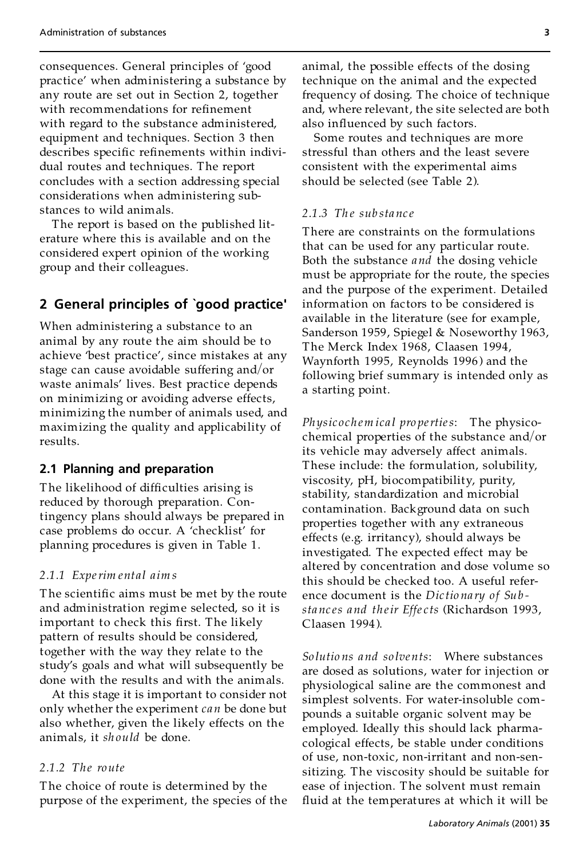consequences. General principles of `good practice' when administering a substance by any route are set out in Section 2, together with recommendations for refinement with regard to the substance administered, equipment and techniques. Section 3 then describes specific refinements within individual routes and techniques. The report concludes with a section addressing special considerations when administering substances to wild animals.

The report is based on the published literature where this is available and on the considered expert opinion of the working group and their colleagues.

# **2 General principles of `good practice'**

When administering a substance to an animal by any route the aim should be to achieve 'best practice', since mistakes at any stage can cause avoidable suffering and/or waste animals' lives. Best practice depends on minimizing or avoiding adverse effects, minimizing the number of animals used, and maximizing the quality and applicability of results.

#### **2.1 Planning and preparation**

The likelihood of difficulties arising is reduced by thorough preparation. Contingency plans should always be prepared in case problems do occur. A 'checklist' for planning procedures is given in Table 1.

#### *2.1.1 Experim ental aim s*

The scientific aims must be met by the route and administration regime selected, so it is important to check this first. The likely pattern of results should be considered, together with the way they relate to the study's goals and what will subsequently be done with the results and with the animals.

At this stage it is important to consider not only whether the experiment *can* be done but also whether, given the likely effects on the animals, it *sh ould* be done.

#### *2.1.2 The route*

The choice of route is determined by the purpose of the experiment, the species of the animal, the possible effects of the dosing technique on the animal and the expected frequency of dosing. The choice of technique and, where relevant, the site selected are both also influenced by such factors.

Some routes and techniques are more stressful than others and the least severe consistent with the experimental aims should be selected (see Table 2).

#### *2.1.3 Th e sub sta nc e*

There are constraints on the formulations that can be used for any particular route. Both the substance *and* the dosing vehicle must be appropriate for the route, the species and the purpose of the experiment. Detailed information on factors to be considered is available in the literature (see for example, Sanderson 1959, Spiegel & Noseworthy 1963, The Merck Index 1968, Claasen 1994, Waynforth 1995, Reynolds 1996 ) and the following brief summary is intended only as a starting point.

*Ph ysic ochem ica l pro perties*: The physicochemical properties of the substance and/or its vehicle may adversely affect animals. These include: the formulation, solubility, viscosity, pH, biocompatibility, purity, stability, standardization and microbial contamination. Background data on such properties together with any extraneous effects (e.g. irritancy), should always be investigated. The expected effect may be altered by concentration and dose volume so this should be checked too. A useful reference document is the *Dic tio na ry of Sub sta nc es and their Effe c ts* (Richardson 1993, Claasen 1994 ).

*So lutio ns and so lvents*: Where substances are dosed as solutions, water for injection or physiological saline are the commonest and simplest solvents. For water-insoluble com pounds a suitable organic solvent may be employed. Ideally this should lack pharmacological effects, be stable under conditions of use, non-toxic, non-irritant and non-sen sitizing. The viscosity should be suitable for ease of injection. The solvent must remain fluid at the temperatures at which it will be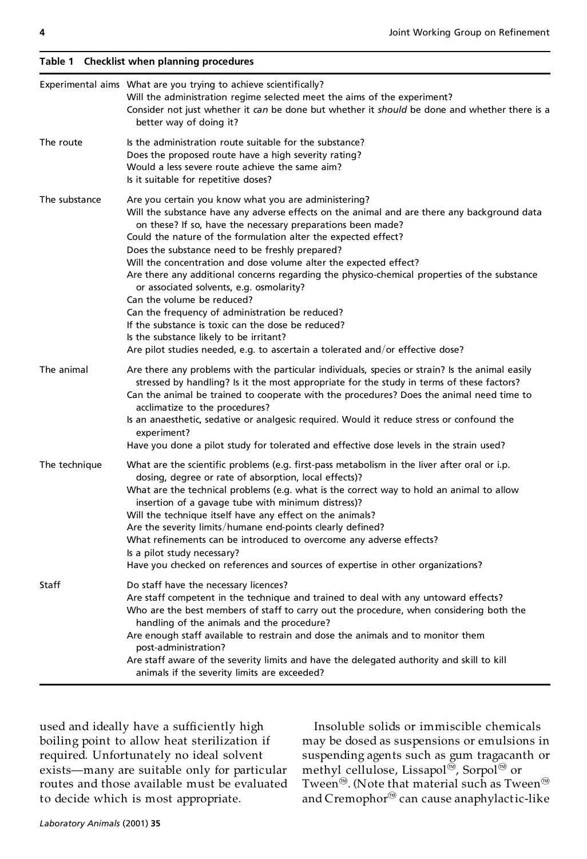|               | Experimental aims What are you trying to achieve scientifically?<br>Will the administration regime selected meet the aims of the experiment?<br>Consider not just whether it can be done but whether it should be done and whether there is a<br>better way of doing it?                                                                                                                                                                                                                                                                                                                                                                                                                                                                                                                                                     |
|---------------|------------------------------------------------------------------------------------------------------------------------------------------------------------------------------------------------------------------------------------------------------------------------------------------------------------------------------------------------------------------------------------------------------------------------------------------------------------------------------------------------------------------------------------------------------------------------------------------------------------------------------------------------------------------------------------------------------------------------------------------------------------------------------------------------------------------------------|
| The route     | Is the administration route suitable for the substance?<br>Does the proposed route have a high severity rating?<br>Would a less severe route achieve the same aim?<br>Is it suitable for repetitive doses?                                                                                                                                                                                                                                                                                                                                                                                                                                                                                                                                                                                                                   |
| The substance | Are you certain you know what you are administering?<br>Will the substance have any adverse effects on the animal and are there any background data<br>on these? If so, have the necessary preparations been made?<br>Could the nature of the formulation alter the expected effect?<br>Does the substance need to be freshly prepared?<br>Will the concentration and dose volume alter the expected effect?<br>Are there any additional concerns regarding the physico-chemical properties of the substance<br>or associated solvents, e.g. osmolarity?<br>Can the volume be reduced?<br>Can the frequency of administration be reduced?<br>If the substance is toxic can the dose be reduced?<br>Is the substance likely to be irritant?<br>Are pilot studies needed, e.g. to ascertain a tolerated and/or effective dose? |
| The animal    | Are there any problems with the particular individuals, species or strain? Is the animal easily<br>stressed by handling? Is it the most appropriate for the study in terms of these factors?<br>Can the animal be trained to cooperate with the procedures? Does the animal need time to<br>acclimatize to the procedures?<br>Is an anaesthetic, sedative or analgesic required. Would it reduce stress or confound the<br>experiment?<br>Have you done a pilot study for tolerated and effective dose levels in the strain used?                                                                                                                                                                                                                                                                                            |
| The technique | What are the scientific problems (e.g. first-pass metabolism in the liver after oral or i.p.<br>dosing, degree or rate of absorption, local effects)?<br>What are the technical problems (e.g. what is the correct way to hold an animal to allow<br>insertion of a gavage tube with minimum distress)?<br>Will the technique itself have any effect on the animals?<br>Are the severity limits/humane end-points clearly defined?<br>What refinements can be introduced to overcome any adverse effects?<br>Is a pilot study necessary?<br>Have you checked on references and sources of expertise in other organizations?                                                                                                                                                                                                  |
| Staff         | Do staff have the necessary licences?<br>Are staff competent in the technique and trained to deal with any untoward effects?<br>Who are the best members of staff to carry out the procedure, when considering both the<br>handling of the animals and the procedure?<br>Are enough staff available to restrain and dose the animals and to monitor them<br>post-administration?<br>Are staff aware of the severity limits and have the delegated authority and skill to kill<br>animals if the severity limits are exceeded?                                                                                                                                                                                                                                                                                                |

used and ideally have a sufficiently high boiling point to allow heat sterilization if required. Unfortunately no ideal solvent exists—many are suitable only for particular routes and those available must be evaluated to decide which is most appropriate.

Insoluble solids or immiscible chemicals may be dosed as suspensions or emulsions in suspending agents such as gum tragacanth or methyl cellulose, Lissapol<sup>®</sup>, Sorpol<sup>®</sup> or Tween<sup>®</sup>. (Note that material such as Tween<sup>®</sup> and Cremophor<sup>®</sup> can cause anaphylactic-like

**Table 1 Checklist when planning procedures**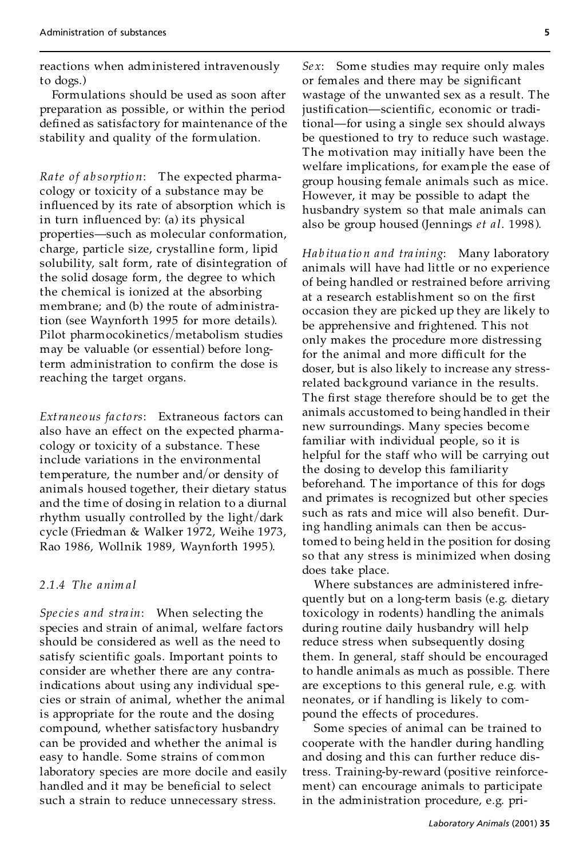reactions when administered intravenously to dogs.)

Formulations should be used as soon after preparation as possible, or within the period defined as satisfactory for maintenance of the stability and quality of the formulation.

*Rate o f a b so rptio n*: The expected pharmacology or toxicity of a substance may be influenced by its rate of absorption which is in turn influenced by: (a) its physical properties-such as molecular conformation, charge, particle size, crystalline form, lipid solubility, salt form, rate of disintegration of the solid dosage form, the degree to which the chemical is ionized at the absorbing membrane; and (b) the route of administration (see Waynforth 1995 for more details). Pilot pharmocokinetics/metabolism studies may be valuable (or essential) before longterm administration to confirm the dose is reaching the target organs.

*Extraneous fa c to rs*: Extraneous factors can also have an effect on the expected pharmacology or toxicity of a substance. These include variations in the environmental temperature, the number and/or density of animals housed together, their dietary status and the time of dosing in relation to a diurnal rhythm usually controlled by the light/dark cycle (Friedman & Walker 1972, Weihe 1973, Rao 1986, Wollnik 1989, Waynforth 1995 ).

#### *2.1.4 The anim a l*

*Spe cies and stra in*: When selecting the species and strain of animal, welfare factors should be considered as well as the need to satisfy scientific goals. Important points to consider are whether there are any contraindications about using any individual species or strain of animal, whether the animal is appropriate for the route and the dosing compound, whether satisfac tory husbandry can be provided and whether the animal is easy to handle. Some strains of common laboratory species are more docile and easily handled and it may be beneficial to select such a strain to reduce unnecessary stress.

*Se x*: Some studies may require only males or females and there may be significant wastage of the unwanted sex as a result. The justification-scientific, economic or traditional—for using a single sex should always be questioned to try to reduce such wastage. The motivation may initially have been the welfare implications, for example the ease of group housing female animals such as mice. However, it may be possible to adapt the husbandry system so that male animals can also be group housed (Jennings *et a l*. 1998 ).

*Ha b itua tio n and tra ining*: Many laboratory animals will have had little or no experience of being handled or restrained before arriving at a research establishment so on the first occasion they are picked up they are likely to be apprehensive and frightened. This not only makes the procedure more distressing for the animal and more difficult for the doser, but is also likely to increase any stressrelated background variance in the results. The first stage therefore should be to get the animals accustomed to being handled in their new surroundings. Many species become familiar with individual people, so it is helpful for the staff who will be carrying out the dosing to develop this familiarity beforehand. The importance of this for dogs and primates is recognized but other species such as rats and mice will also benefit. During handling animals can then be accustomed to being held in the position for dosing so that any stress is minimized when dosing does take place.

Where substances are administered infrequently but on a long-term basis (e.g. dietary toxicology in rodents) handling the animals during routine daily husbandry will help reduce stress when subsequently dosing them. In general, staff should be encouraged to handle animals as much as possible. There are exceptions to this general rule, e.g. with neonates, or if handling is likely to com pound the effects of procedures.

Some species of animal can be trained to cooperate with the handler during handling and dosing and this can further reduce distress. Training-by-reward (positive reinforce ment) can encourage animals to participate in the administration procedure, e.g. pri-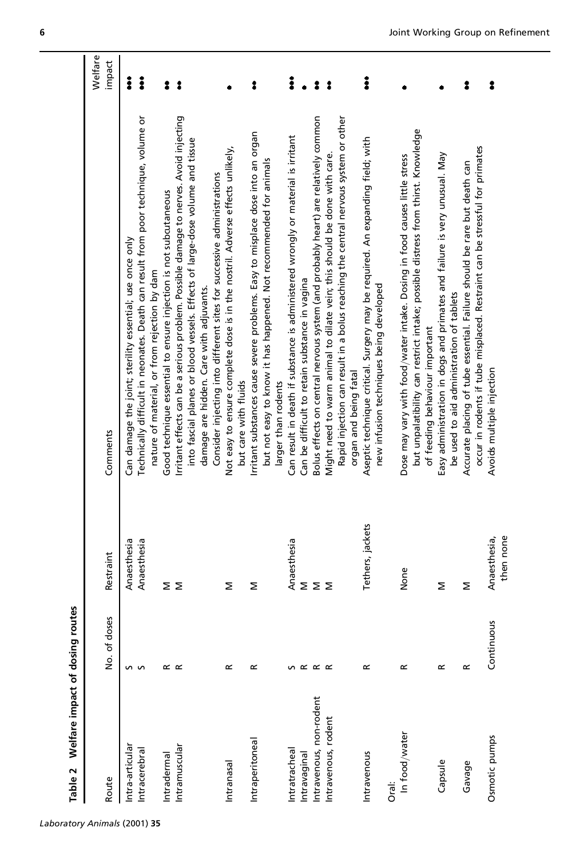| 6      |
|--------|
|        |
| t<br>Ĵ |

| Route                   | No. of doses        | Restraint        | Comments                                                                                                                                                               | Welfare<br>impact    |
|-------------------------|---------------------|------------------|------------------------------------------------------------------------------------------------------------------------------------------------------------------------|----------------------|
| Intra-articular         |                     | Anaesthesia      | Can damage the joint; sterility essential; use once only                                                                                                               | $\ddot{\phantom{a}}$ |
| Intracerebral           | n n                 | Anaesthesia      | Technically difficult in neonates. Death can result from poor technique, volume or                                                                                     | $\ddot{\phantom{a}}$ |
|                         |                     |                  | nature of material, or from rejection by dam                                                                                                                           |                      |
| Intradermal             | $\propto$ $\propto$ | Σ                | Good technique essential to ensure injection is not subcutaneous                                                                                                       | ះ                    |
| Intramuscular           |                     | Σ                | Irritant effects can be a serious problem. Possible damage to nerves. Avoid injecting<br>into fascial planes or blood vessels. Effects of large-dose volume and tissue | $\ddot{\phantom{0}}$ |
|                         |                     |                  | damage are hidden. Care with adjuvants.                                                                                                                                |                      |
|                         |                     |                  | Consider injecting into different sites for successive administrations                                                                                                 |                      |
| Intranasal              | œ                   | Σ                | Not easy to ensure complete dose is in the nostril. Adverse effects unlikely,<br>but care with fluids                                                                  |                      |
| Intraperitoneal         | œ                   | Σ                | Irritant substances cause severe problems. Easy to misplace dose into an organ                                                                                         | :                    |
|                         |                     |                  | but not easy to know it has happened. Not recommended for animals                                                                                                      |                      |
|                         |                     |                  | larger than rodents                                                                                                                                                    |                      |
| Intratracheal           | S                   | Anaesthesia      | Can result in death if substance is administered wrongly or material is irritant                                                                                       | $\ddot{\phantom{a}}$ |
| Intravaginal            | $\propto$           | Σ                | Can be difficult to retain substance in vagina                                                                                                                         | $\bullet$            |
| Intravenous, non-rodent | $\propto \propto$   | Σ                | Bolus effects on central nervous system (and probably heart) are relatively common                                                                                     | $\ddot{\phantom{a}}$ |
| Intravenous, rodent     |                     | Σ                | Might need to warm animal to dilate vein; this should be done with care.                                                                                               | $\ddot{\bullet}$     |
|                         |                     |                  | Rapid injection can result in a bolus reaching the central nervous system or other                                                                                     |                      |
|                         |                     |                  | organ and being fatal                                                                                                                                                  |                      |
| Intravenous             | œ                   | Tethers, jackets | Aseptic technique critical. Surgery may be required. An expanding field; with                                                                                          | $\ddot{\phantom{a}}$ |
| Orai:                   |                     |                  | new infusion techniques being developed                                                                                                                                |                      |
| In food/water           | œ                   | None             | Dose may vary with food/water intake. Dosing in food causes little stress                                                                                              |                      |
|                         |                     |                  | but unpalatibility can restrict intake; possible distress from thirst. Knowledge<br>of feeding behaviour important                                                     |                      |
| Capsule                 | œ                   | Σ                | Easy administration in dogs and primates and failure is very unusual. May                                                                                              |                      |
|                         |                     |                  | be used to aid administration of tablets                                                                                                                               |                      |
| Gavage                  | œ                   | Σ                | occur in rodents if tube misplaced. Restraint can be stressful for primates<br>Accurate placing of tube essential. Failure should be rare but death can                | :                    |
| Osmotic pumps           | Continuous          | Anaesthesia,     | Avoids multiple injection                                                                                                                                              | ះ                    |
|                         |                     | then none        |                                                                                                                                                                        |                      |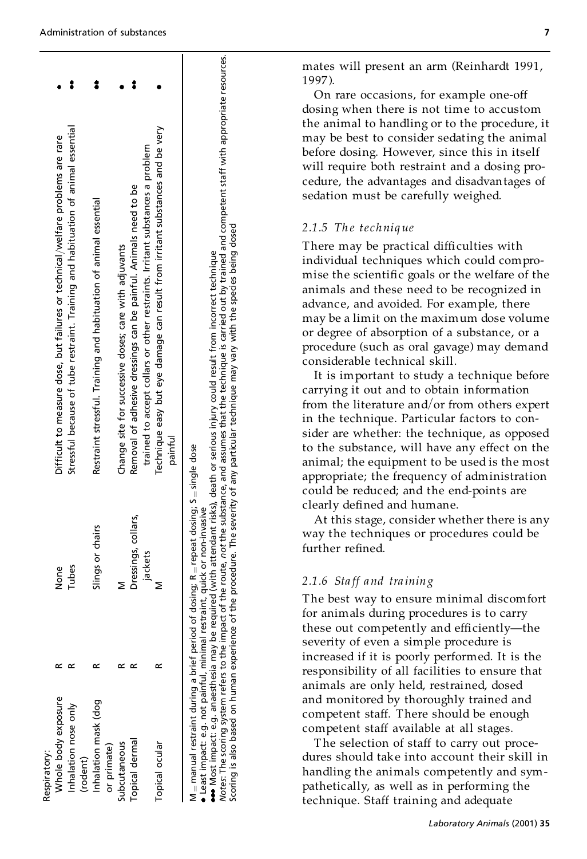$\blacksquare$ 

|                                                                                |                                                                                   |          |                                                                   |             |                                                       |                                                                                                                                                  |                                                                                          | mates will present an arm (Reinhardt 199<br>1997).<br>On rare occasions, for example one-off<br>dosing when there is not time to accusto                                                                                                                                                                                                                                                                                                                                                                                                                                                                                                                                                                                                                                                                                                                                                                                                                                                                                                                                                                                           |
|--------------------------------------------------------------------------------|-----------------------------------------------------------------------------------|----------|-------------------------------------------------------------------|-------------|-------------------------------------------------------|--------------------------------------------------------------------------------------------------------------------------------------------------|------------------------------------------------------------------------------------------|------------------------------------------------------------------------------------------------------------------------------------------------------------------------------------------------------------------------------------------------------------------------------------------------------------------------------------------------------------------------------------------------------------------------------------------------------------------------------------------------------------------------------------------------------------------------------------------------------------------------------------------------------------------------------------------------------------------------------------------------------------------------------------------------------------------------------------------------------------------------------------------------------------------------------------------------------------------------------------------------------------------------------------------------------------------------------------------------------------------------------------|
|                                                                                |                                                                                   |          |                                                                   |             |                                                       |                                                                                                                                                  |                                                                                          | the animal to handling or to the procedur<br>may be best to consider sedating the anii<br>before dosing. However, since this in itse<br>will require both restraint and a dosing p<br>cedure, the advantages and disadvantages<br>sedation must be carefully weighed.                                                                                                                                                                                                                                                                                                                                                                                                                                                                                                                                                                                                                                                                                                                                                                                                                                                              |
| Difficult to measure dose, but failures or technical/welfare problems are rare | Stressful because of tube restraint. Training and habituation of animal essential |          | Restraint stressful. Training and habituation of animal essential |             | Change site for successive doses; care with adjuvants | trained to accept collars or other restraints. Irritant substances a problem<br>Removal of adhesive dressings can be painful. Animals need to be | Technique easy but eye damage can result from irritant substances and be very<br>painful | ••• Most impact: e.g. anaesthesia may be required (with attendant risks), death or serious injury could result from incorrect technique<br>Motes: The scoring system refers to the impact of the route, not the substance, and a<br>2.1.5 The technique<br>There may be practical difficulties with<br>individual techniques which could comp<br>mise the scientific goals or the welfare of<br>animals and these need to be recognized<br>advance, and avoided. For example, there<br>may be a limit on the maximum dose volu<br>or degree of absorption of a substance, or<br>procedure (such as oral gavage) may dem<br>considerable technical skill.<br>It is important to study a technique be<br>carrying it out and to obtain information<br>from the literature and/or from others $ex$<br>in the technique. Particular factors to co:<br>sider are whether: the technique, as oppo<br>to the substance, will have any effect on<br>=single dose<br>animal; the equipment to be used is the m<br>appropriate; the frequency of administrat<br>could be reduced; and the end-points are<br>n<br>clearly defined and humane. |
|                                                                                |                                                                                   |          | Slings or chairs                                                  |             |                                                       | Dressings, collars,<br>jackets                                                                                                                   |                                                                                          | of dosing; R = repeat dosing;<br>straint, quick or non-invasive<br>At this stage, consider whether there is<br>way the techniques or procedures could l<br>further refined.                                                                                                                                                                                                                                                                                                                                                                                                                                                                                                                                                                                                                                                                                                                                                                                                                                                                                                                                                        |
| None                                                                           | Tubes                                                                             |          |                                                                   |             | Σ                                                     |                                                                                                                                                  | Σ                                                                                        | 2.1.6 Staff and training<br>The best way to ensure minimal discom!<br>for animals during procedures is to carry<br>these out competently and efficiently-tl<br>severity of even a simple procedure is<br>increased if it is poorly performed. It is t                                                                                                                                                                                                                                                                                                                                                                                                                                                                                                                                                                                                                                                                                                                                                                                                                                                                              |
| Whole body exposure<br>Respiratory:                                            | $\propto$ $\propto$<br>Inhalation nose only                                       | (rodent) | œ<br>Inhalation mask (dog                                         | or primate) | $\propto$ $\propto$<br>Subcutaneous                   | Topical dermal                                                                                                                                   | œ<br>Topical ocular                                                                      | · Least impact: e.g. not painful, minimal res<br>M = manual restraint during a brief period<br>responsibility of all facilities to ensure th<br>animals are only held, restrained, dosed<br>and monitored by thoroughly trained and<br>competent staff. There should be enough<br>competent staff available at all stages.<br>The selection of staff to carry out proc<br>dures should take into account their skil<br>handling the animals competently and sy<br>pathetically, as well as in performing the<br>technique. Staff training and adequate                                                                                                                                                                                                                                                                                                                                                                                                                                                                                                                                                                             |

mates will present an arm (Reinhardt 1991, 1997 ).

On rare occasions, for example one-off dosing when there is not time to accustom the animal to handling or to the procedure, it may be best to consider sedating the animal before dosing. However, since this in itself will require both restraint and a dosing procedure, the advantages and disadvantages of sedation must be carefully weighed.

# *2.1.5 Th e te chniq ue*

There may be practical difficulties with individual techniques which could compro mise the scientific goals or the welfare of the animals and these need to be recognized in advance, and avoided. For example, there may be a limit on the maximum dose volume or degree of absorption of a substance, or a procedure (such as oral gavage) may demand considerable technical skill.

It is important to study a technique before carrying it out and to obtain information from the literature and/or from others expert in the technique. Particular factors to consider are whether: the technique, as opposed to the substance, will have any effect on the animal; the equipment to be used is the most appropriate; the frequency of administration could be reduced; and the end-points are clearly defined and humane.

At this stage, consider whether there is any way the techniques or procedures could be further refined.

# *2.1.6 Sta ff and tra ining*

The best way to ensure minimal discomfort for animals during procedures is to carry these out competently and efficiently-the severity of even a simple procedure is increased if it is poorly performed. It is the responsibility of all facilities to ensure that animals are only held, restrained, dosed and monitored by thoroughly trained and competent staff. There should be enough competent staff available at all stages.

The selection of staff to carry out procedures should take into account their skill in handling the animals competently and sym pathetically, as well as in performing the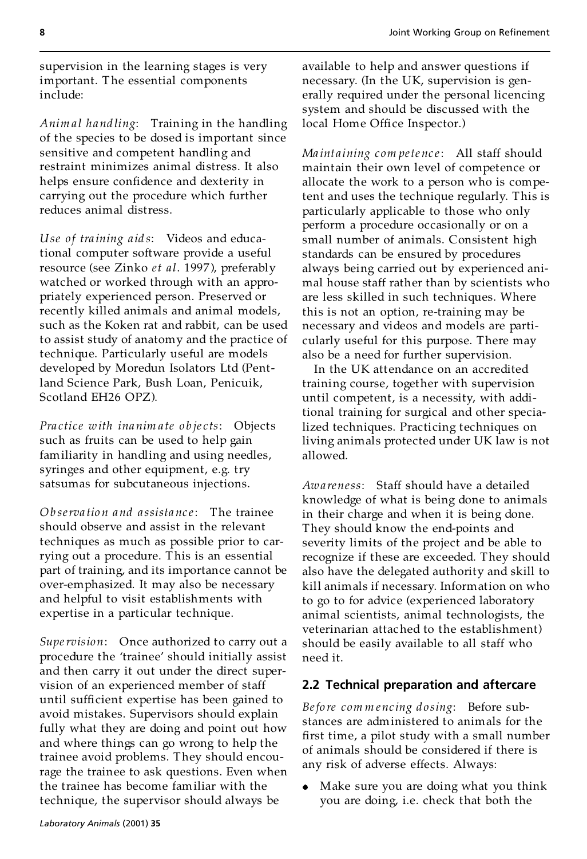supervision in the learning stages is very important. The essential components include:

*Anim a l hand ling*: Training in the handling of the species to be dosed is important since sensitive and competent handling and restraint minimizes animal distress. It also helps ensure confidence and dexterity in carrying out the procedure which further reduces animal distress.

*Use of tra ining aid s*:Videos and educational computer software provide a useful resource (see Zinko *et al*. 1997 ), preferably watched or worked through with an appropriately experienced person. Preserved or recently killed animals and animal models, such as the Koken rat and rabbit, can be used to assist study of anatomy and the practice of technique. Particularly useful are models developed by Moredun Isolators Ltd (Pentland Science Park, Bush Loan, Penicuik, Scotland EH26 OPZ).

*Pra ctice with ina nim a te o b je c ts*: Objects such as fruits can be used to help gain familiarity in handling and using needles, syringes and other equipment, e.g. try satsumas for subcutaneous injections.

*Ob serva tio n and a ssista nc e*: The trainee should observe and assist in the relevant techniques as much as possible prior to carrying out a procedure. This is an essential part of training, and its importance cannot be over-emphasized. It may also be necessary and helpful to visit establishments with expertise in a particular technique.

*Supervision*: Once authorized to carry out a procedure the 'trainee' should initially assist and then carry it out under the direct supervision of an experienced member of staff until sufficient expertise has been gained to avoid mistakes. Supervisors should explain fully what they are doing and point out how and where things can go wrong to help the trainee avoid problems. They should encourage the trainee to ask questions. Even when the trainee has become familiar with the technique, the supervisor should always be

available to help and answer questions if necessary. (In the UK, supervision is generally required under the personal licencing system and should be discussed with the local Home Office Inspector.)

*Ma int aining com pete nc e*: All staff should maintain their own level of competence or allocate the work to a person who is competent and uses the technique regularly. This is particularly applicable to those who only perform a procedure occasionally or on a small number of animals. Consistent high standards can be ensured by procedures always being carried out by experienced ani mal house staff rather than by scientists who are less skilled in such techniques. Where this is not an option, re-training may be necessary and videos and models are particularly useful for this purpose. There may also be a need for further supervision.

In the UK attendance on an accredited training course, together with supervision until competent, is a necessity, with additional training for surgical and other specialized techniques. Practicing techniques on living animals protected under UK law is not allowed.

*Awa reness*: Staff should have a detailed knowledge of what is being done to animals in their charge and when it is being done. They should know the end-points and severity limits of the project and be able to recognize if these are exceeded. They should also have the delegated authority and skill to kill animals if necessary. Information on who to go to for advice (experienced laboratory animal scientists, animal technologists, the veterinarian attached to the establishment) should be easily available to all staff who need it.

#### **2.2 Technical preparation and aftercare**

*Befo re com m enc ing do sing*: Before substances are administered to animals for the first time, a pilot study with a small number of animals should be considered if there is any risk of adverse effects. Always:

Make sure you are doing what you think you are doing, i.e. check that both the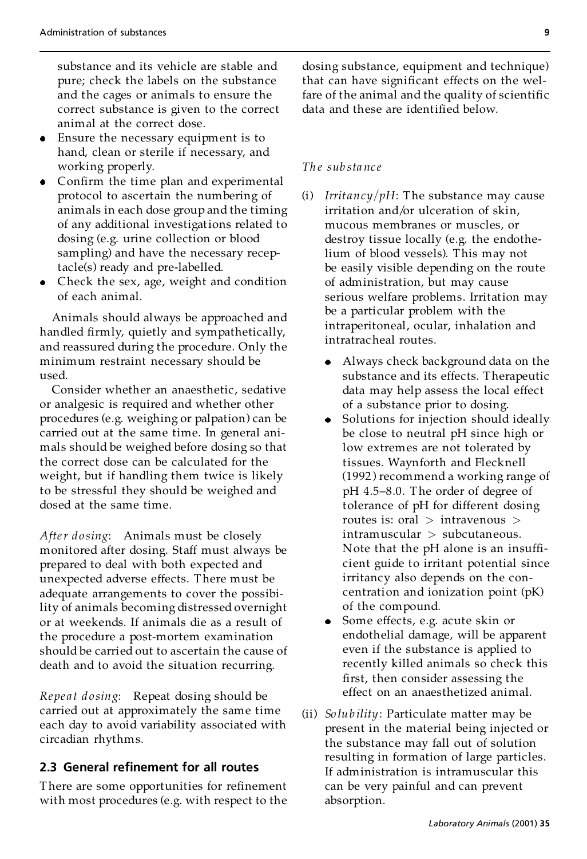substance and its vehicle are stable and pure; check the labels on the substance and the cages or animals to ensure the correct substance is given to the correct animal at the correct dose.

- Ensure the necessary equipment is to hand, clean or sterile if necessary, and working properly.
- $\bullet$  Confirm the time plan and experimental protocol to ascertain the numbering of animals in each dose group and the timing of any additional investigations related to dosing (e.g. urine collection or blood sampling) and have the necessary receptacle(s) ready and pre-labelled.
- Check the sex, age, weight and condition of each animal.

Animals should always be approached and handled firmly, quietly and sympathetically, and reassured during the procedure. Only the minimum restraint necessary should be used.

Consider whether an anaesthetic, sedative or analgesic is required and whether other procedures (e.g. weighing or palpation) can be carried out at the same time. In general ani mals should be weighed before dosing so that the correct dose can be calculated for the weight, but if handling them twice is likely to be stressful they should be weighed and dosed at the same time.

*After do sing*: Animals must be closely monitored after dosing. Staff must always be prepared to deal with both expected and unexpected adverse effects. There must be adequate arrangements to cover the possibility of animals becoming distressed overnight or at weekends. If animals die as a result of the procedure a post-mortem examination should be carried out to ascertain the cause of death and to avoid the situation recurring.

*Repe a t do sing*: Repeat dosing should be carried out at approximately the same time each day to avoid variability associated with circadian rhythms.

#### **2.3 General renement for all routes**

There are some opportunities for refinement with most procedures (e.g. with respect to the dosing substance, equipment and technique) that can have significant effects on the welfare of the animal and the quality of scientific data and these are identified below.

#### *Th e sub sta nc e*

- (i) *Irritancy/pH*: The substance may cause irritation and/or ulceration of skin, mucous membranes or muscles, or destroy tissue locally (e.g. the endothelium of blood vessels). This may not be easily visible depending on the route of administration, but may cause serious welfare problems. Irritation may be a particular problem with the intraperitoneal, ocular, inhalation and intratracheal routes.
	- Always check background data on the substance and its effects. Therapeutic data may help assess the local effect of a substance prior to dosing.
	- Solutions for injection should ideally be close to neutral pH since high or low extremes are not tolerated by tissues. Waynforth and Flecknell (1992 ) recommend a working range of pH 4.5-8.0. The order of degree of tolerance of pH for different dosing routes is: oral > intravenous > intramuscular > subcutaneous. Note that the pH alone is an insufficient guide to irritant potential since irritancy also depends on the con centration and ionization point (pK) of the compound.
	- Some effects, e.g. acute skin or endothelial damage, will be apparent even if the substance is applied to recently killed animals so check this first, then consider assessing the effect on an anaesthetized animal.
- (ii) *So lub ility*: Particulate matter may be present in the material being injected or the substance may fall out of solution resulting in formation of large particles. If administration is intramuscular this can be very painful and can prevent absorption.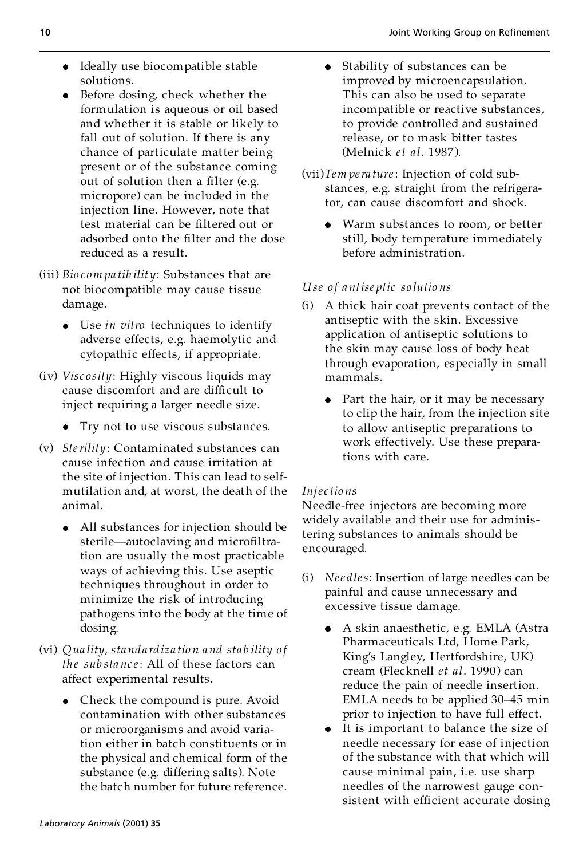- Ideally use biocompatible stable solutions.
- Before dosing, check whether the formulation is aqueous or oil based and whether it is stable or likely to fall out of solution. If there is any chance of particulate matter being present or of the substance coming out of solution then a filter (e.g. micropore) can be included in the injection line. However, note that test material can be filtered out or adsorbed onto the filter and the dose reduced as a result.
- (iii) *Bio com pa tib ilit y*: Substances that are not biocompatible may cause tissue damage.
	- Use *in vitro* techniques to identify adverse effects, e.g. haemolytic and cytopathic effects, if appropriate.
- (iv) *Viscosity*: Highly viscous liquids may cause discomfort and are difficult to inject requiring a larger needle size.
	- Try not to use viscous substances.
- (v) *Sterility*: Contaminated substances can cause infection and cause irritation at the site of injection. This can lead to self mutilation and, at worst, the death of the animal.
	- All substances for injection should be sterile-autoclaving and microfiltration are usually the most practicable ways of achieving this. Use aseptic techniques throughout in order to minimize the risk of introducing pathogens into the body at the time of dosing.
- (vi) *Qua lity, sta nd a rdiza tio n and stab ility o f the substance:* All of these factors can affect experimental results.
	- Check the compound is pure. Avoid contamination with other substances or microorganisms and avoid variation either in batch constituents or in the physical and chemical form of the substance (e.g. differing salts). Note the batch number for future reference.
- Stability of substances can be  $\bullet$ improved by microencapsulation. This can also be used to separate incompatible or reactive substances, to provide controlled and sustained release, or to mask bitter tastes (Melnick *et al*. 1987 ).
- (vii)*Tem pera ture*: Injection of cold substances, e.g. straight from the refrigerator, can cause discomfort and shock.
	- Warm substances to room, or better still, body temperature immediately before administration.

#### *Use o f antise ptic so lutio ns*

- (i) A thick hair coat prevents contact of the antiseptic with the skin. Excessive application of antiseptic solutions to the skin may cause loss of body heat through evaporation, especially in small mammals.
	- Part the hair, or it may be necessary to clip the hair, from the injection site to allow antiseptic preparations to work effectively. Use these preparations with care.

#### *Inje c tio ns*

Needle-free injectors are becoming more widely available and their use for administering substances to animals should be encouraged.

- (i) *Nee dles*: Insertion of large needles can be painful and cause unnecessary and excessive tissue damage.
	- A skin anaesthetic, e.g. EMLA (Astra Pharmaceuticals Ltd, Home Park, King's Langley, Hertfordshire, UK) cream (Flecknell *et al*. 1990 ) can reduce the pain of needle insertion. EMLA needs to be applied 30-45 min prior to injection to have full effect.
	- It is important to balance the size of needle necessary for ease of injection of the substance with that which will cause minimal pain, i.e. use sharp needles of the narrowest gauge consistent with efficient accurate dosing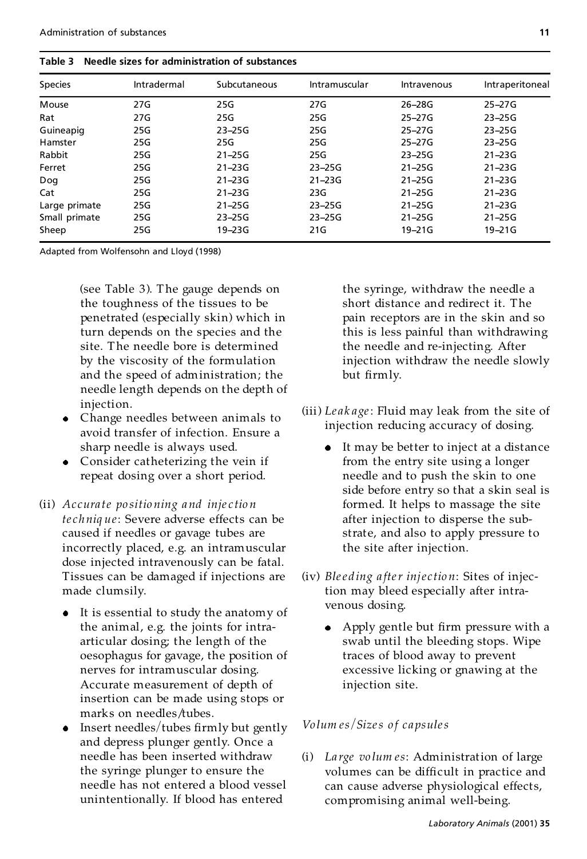| <b>Species</b> | Intradermal | Subcutaneous | Intramuscular | Intravenous | Intraperitoneal |
|----------------|-------------|--------------|---------------|-------------|-----------------|
| Mouse          | 27G         | 25G          | 27G           | 26-28G      | $25 - 27G$      |
| Rat            | 27G         | 25G          | 25G           | $25 - 27G$  | $23 - 25G$      |
| Guineapig      | 25G         | $23 - 25G$   | 25G           | $25 - 27G$  | $23 - 25G$      |
| Hamster        | 25G         | 25G          | 25G           | 25-27G      | $23 - 25G$      |
| Rabbit         | 25G         | $21 - 25G$   | 25G           | $23 - 25G$  | $21 - 23G$      |
| Ferret         | 25G         | $21 - 23G$   | $23 - 25G$    | $21 - 25G$  | $21 - 23G$      |
| Dog            | 25G         | $21 - 23G$   | $21 - 23G$    | $21 - 25G$  | $21 - 23G$      |
| Cat            | 25G         | $21 - 23G$   | 23G           | $21 - 25G$  | $21 - 23G$      |
| Large primate  | 25G         | $21 - 25G$   | $23 - 25G$    | $21 - 25G$  | $21 - 23G$      |
| Small primate  | 25G         | $23 - 25G$   | $23 - 25G$    | $21 - 25G$  | $21 - 25G$      |
| Sheep          | 25G         | $19 - 23G$   | 21G           | $19 - 21G$  | $19 - 21G$      |

Adapted from Wolfensohn and Lloyd (1998)

(see Table 3). The gauge depends on the toughness of the tissues to be penetrated (especially skin) which in turn depends on the species and the site. The needle bore is determined by the viscosity of the formulation and the speed of administration; the needle length depends on the depth of injection.

- Change needles between animals to avoid transfer of infection. Ensure a sharp needle is always used.
- Consider catheterizing the vein if repeat dosing over a short period.
- (ii) *Ac cura te po sitio ning and inje c tio n te chniq ue*: Severe adverse effects can be caused if needles or gavage tubes are incorrectly placed, e.g. an intramuscular dose injected intravenously can be fatal. Tissues can be damaged if injections are made clumsily.
	- It is essential to study the anatomy of the animal, e.g. the joints for intraarticular dosing; the length of the oesophagus for gavage, the position of nerves for intramuscular dosing. Accurate measurement of depth of insertion can be made using stops or marks on needles/tubes.
	- Insert needles/tubes firmly but gently and depress plunger gently. Once a needle has been inserted withdraw the syringe plunger to ensure the needle has not entered a blood vessel unintentionally. If blood has entered

the syringe, withdraw the needle a short distance and redirect it. The pain receptors are in the skin and so this is less painful than withdrawing the needle and re-injecting. After injection withdraw the needle slowly but firmly.

- (iii) *Le ak age*: Fluid may leak from the site of injection reducing accuracy of dosing.
	- It may be better to inject at a distance from the entry site using a longer needle and to push the skin to one side before entry so that a skin seal is formed. It helps to massage the site after injection to disperse the substrate, and also to apply pressure to the site after injection.
- (iv) *Blee ding a fter inje c tio n*: Sites of injection may bleed especially after intravenous dosing.
	- Apply gentle but firm pressure with a swab until the bleeding stops. Wipe traces of blood away to prevent excessive licking or gnawing at the injection site.

#### *Vo lum es*=*Sizes o f capsules*

(i) *La rge vo lum es*: Administration of large volumes can be difficult in practice and can cause adverse physiological effects, compromising animal well-being.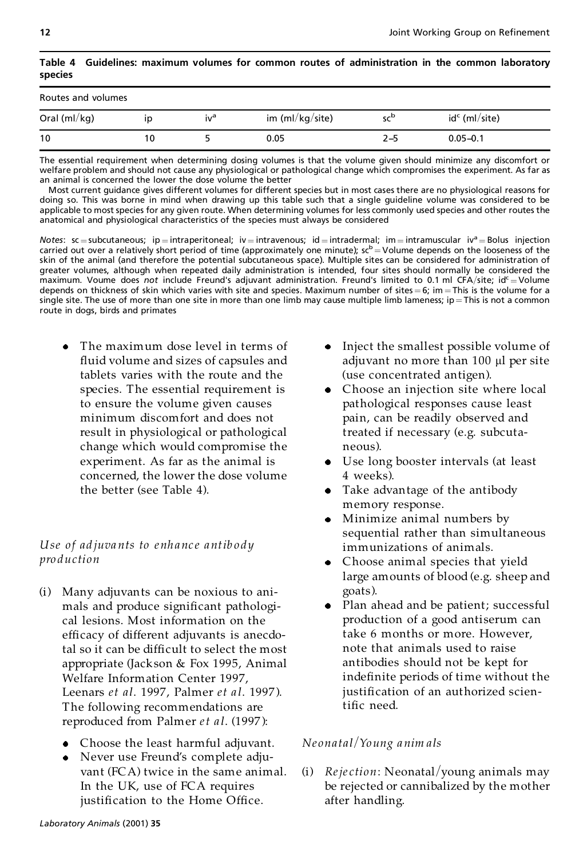| species            |    |                 |                 |                 |                 |  |
|--------------------|----|-----------------|-----------------|-----------------|-----------------|--|
| Routes and volumes |    |                 |                 |                 |                 |  |
| Oral ( $ml/kg$ )   | ID | iv <sup>a</sup> | im (ml/kg/site) | sc <sup>b</sup> | $idc$ (ml/site) |  |
| 10                 | 10 |                 | 0.05            | 2–5             | $0.05 - 0.1$    |  |

#### **Table 4 Guidelines: maximum volumes for common routes of administration in the common laboratory species**

The essential requirement when determining dosing volumes is that the volume given should minimize any discomfort or welfare problem and should not cause any physiological or pathological change which compromises the experiment. As far as an animal is concerned the lower the dose volume the better

Most current guidance gives different volumes for different species but in most cases there are no physiological reasons for doing so. This was borne in mind when drawing up this table such that a single guideline volume was considered to be applicable to most species for any given route. When determining volumes for less commonly used species and other routes the anatomical and physiological characteristics of the species must always be considered

*Notes*: sc = subcutaneous; ip = intraperitoneal; iv = intravenous; id = intradermal; im = intramuscular iv<sup>a</sup> = Bolus injection carried out over a relatively short period of time (approximately one minute);  $sc^b =$  Volume depends on the looseness of the skin of the animal (and therefore the potential subcutaneous space). Multiple sites can be considered for administration of greater volumes, although when repeated daily administration is intended, four sites should normally be considered the maximum. Voume does not include Freund's adjuvant administration. Freund's limited to 0.1 ml CFA/site; id<sup>c</sup> = Volume depends on thickness of skin which varies with site and species. Maximum number of sites  $= 6$ ; im  $=$  This is the volume for a single site. The use of more than one site in more than one limb may cause multiple limb lameness; ip = This is not a common route in dogs, birds and primates

The maximum dose level in terms of fluid volume and sizes of capsules and tablets varies with the route and the species. The essential requirement is to ensure the volume given causes minimum discomfort and does not result in physiological or pathological change which would compromise the experiment. As far as the animal is concerned, the lower the dose volume the better (see Table 4).

# *Use of ad juva nts to enh anc e antib o dy pro duction*

- (i) Many adjuvants can be noxious to ani mals and produce significant pathological lesions. Most information on the efficacy of different adjuvants is anecdotal so it can be difficult to select the most appropriate (Jackson & Fox 1995, Animal Welfare Information Center 1997, Leenars *et al*. 1997, Palmer *et a l*. 1997 ). The following recommendations are reproduced from Palmer *et a l*. (1997 ):
	- Choose the least harmful adjuvant.
	- Never use Freund's complete adjuvant (FCA) twice in the same animal. In the UK, use of FCA requires justification to the Home Office.
- Inject the smallest possible volume of adjuvant no more than  $100 \mu l$  per site (use concentrated antigen).
- Choose an injection site where local pathological responses cause least pain, can be readily observed and treated if necessary (e.g. subcuta neous).
- Use long booster intervals (at least 4 weeks).
- Take advantage of the antibody memory response.
- Minimize animal numbers by  $\bullet$ sequential rather than simultaneous immunizations of animals.
- Choose animal species that yield large amounts of blood (e.g. sheep and
- goats).<br>• Plan ahead and be patient; successful production of a good antiserum can take 6 months or more. However, note that animals used to raise antibodies should not be kept for indefinite periods of time without the justification of an authorized scientific need.

## *Ne onatal*=*Young anim als*

(i) *Rejection*: Neonatal/young animals may be rejected or cannibalized by the mother after handling.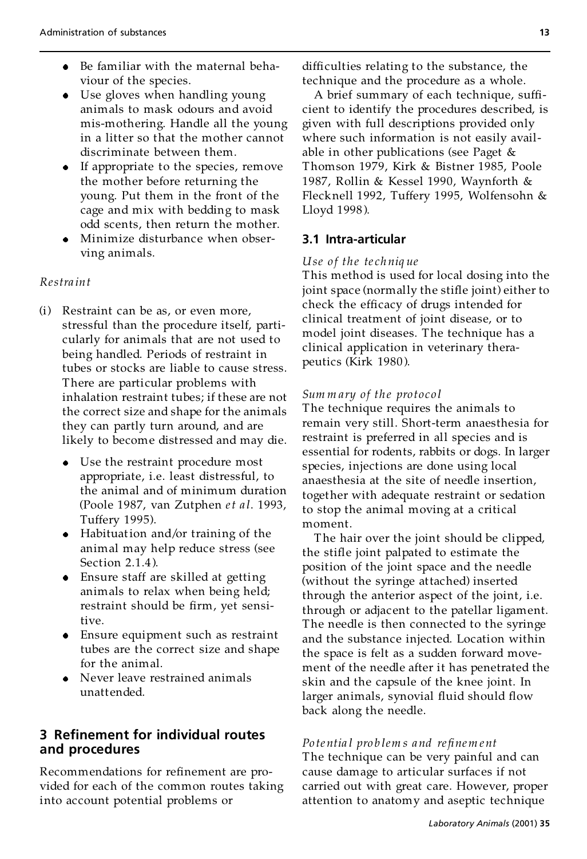- Be familiar with the maternal behaviour of the species.
- Use gloves when handling young animals to mask odours and avoid mis-mothering. Handle all the young in a litter so that the mother cannot discriminate between them.
- If appropriate to the species, remove the mother before returning the young. Put them in the front of the cage and mix with bedding to mask odd scents, then return the mother.
- Minimize disturbance when observing animals.

#### *Restra int*

- (i) Restraint can be as, or even more, stressful than the procedure itself, particularly for animals that are not used to being handled. Periods of restraint in tubes or stocks are liable to cause stress. There are particular problems with inhalation restraint tubes; if these are not the correct size and shape for the animals they can partly turn around, and are likely to become distressed and may die.
	- Use the restraint procedure most appropriate, i.e. least distressful, to the animal and of minimum duration (Poole 1987, van Zutphen *et a l*. 1993, Tuffery 1995).
	- Habituation and/or training of the animal may help reduce stress (see Section 2.1.4 ).
	- Ensure staff are skilled at getting animals to relax when being held; restraint should be firm, yet sensitive.
	- Ensure equipment such as restraint tubes are the correct size and shape for the animal.
	- Never leave restrained animals unattended.

# **3 Re nement for individual routes and procedures**

Recommendations for refinement are provided for each of the common routes taking into account potential problems or

difficulties relating to the substance, the technique and the procedure as a whole.

A brief summary of each technique, sufficient to identify the procedures described, is given with full descriptions provided only where such information is not easily avail able in other publications (see Paget & Thomson 1979, Kirk & Bistner 1985, Poole 1987, Rollin & Kessel 1990, Waynforth & Flecknell 1992, Tuffery 1995, Wolfensohn & Lloyd 1998 ).

#### **3.1 Intra-articular**

#### *Use o f the te ch niq ue*

This method is used for local dosing into the joint space (normally the stifle joint) either to check the efficacy of drugs intended for clinical treatment of joint disease, or to model joint diseases. The technique has a clinical application in veterinary therapeutics (Kirk 1980).

#### *Sum m ary of the pro toco l*

The technique requires the animals to remain very still. Short-term anaesthesia for restraint is preferred in all species and is essential for rodents, rabbits or dogs. In larger species, injections are done using local anaesthesia at the site of needle insertion, together with adequate restraint or sedation to stop the animal moving at a critical moment.

The hair over the joint should be clipped, the stifle joint palpated to estimate the position of the joint space and the needle (without the syringe attached) inserted through the anterior aspect of the joint, i.e. through or adjacent to the patellar ligament. The needle is then connected to the syringe and the substance injected. Location within the space is felt as a sudden forward move ment of the needle after it has penetrated the skin and the capsule of the knee joint. In larger animals, synovial fluid should flow back along the needle.

#### *Po te ntia l pro b lem s and re®nem ent*

The technique can be very painful and can cause damage to articular surfaces if not carried out with great care. However, proper attention to anatomy and aseptic technique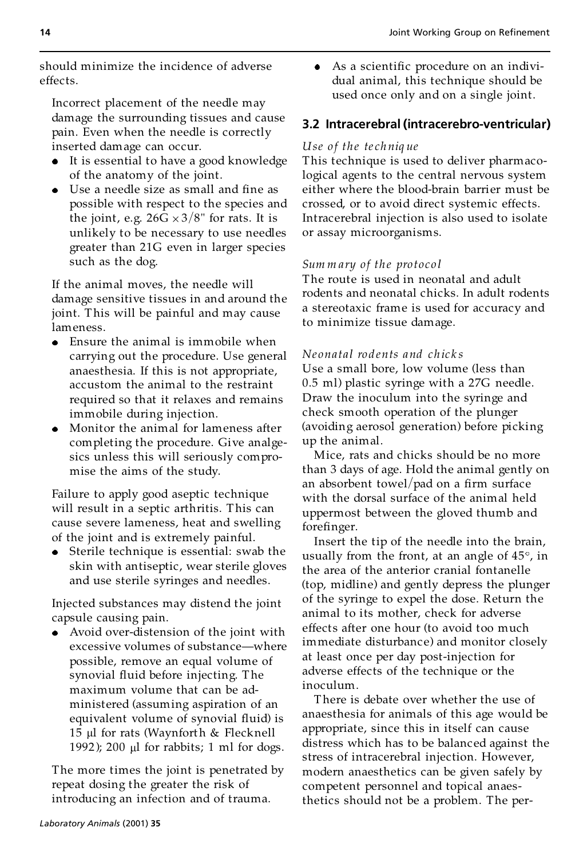should minimize the incidence of adverse effects.

Incorrect placement of the needle may damage the surrounding tissues and cause pain. Even when the needle is correctly inserted damage can occur.

- It is essential to have a good knowledge of the anatomy of the joint.
- $\bullet$  Use a needle size as small and fine as possible with respect to the species and the joint, e.g.  $26G \times 3/8$ " for rats. It is unlikely to be necessary to use needles greater than 21G even in larger species such as the dog.

If the animal moves, the needle will damage sensitive tissues in and around the joint. This will be painful and may cause lameness.

- Ensure the animal is immobile when carrying out the procedure. Use general anaesthesia. If this is not appropriate, accustom the animal to the restraint required so that it relaxes and remains immobile during injection.
- Monitor the animal for lameness after completing the procedure. Give analgesics unless this will seriously compro mise the aims of the study.

Failure to apply good aseptic technique will result in a septic arthritis. This can cause severe lameness, heat and swelling of the joint and is extremely painful.

Sterile technique is essential: swab the skin with antiseptic, wear sterile gloves and use sterile syringes and needles.

Injected substances may distend the joint capsule causing pain.

Avoid over-distension of the joint with excessive volumes of substance—where possible, remove an equal volume of synovial fluid before injecting. The maximum volume that can be ad ministered (assuming aspiration of an equivalent volume of synovial fluid) is 15  $\mu$ l for rats (Waynforth & Flecknell 1992); 200  $\mu$ l for rabbits; 1 ml for dogs.

The more times the joint is penetrated by repeat dosing the greater the risk of introducing an infection and of trauma.

 $\bullet$  As a scientific procedure on an individual animal, this technique should be used once only and on a single joint.

# **3.2 Intracerebral (intracerebro-ventricular)**

## *Use o f the te ch niq ue*

This technique is used to deliver pharmacological agents to the central nervous system either where the blood-brain barrier must be crossed, or to avoid direct systemic effects. Intracerebral injection is also used to isolate or assay microorganisms.

### *Sum m ary of the pro toco l*

The route is used in neonatal and adult rodents and neonatal chicks. In adult rodents a stereotaxic frame is used for accuracy and to minimize tissue damage.

### *Ne onatal ro dents and chic k s*

Use a small bore, low volume (less than 0.5 ml) plastic syringe with a 27G needle. Draw the inoculum into the syringe and check smooth operation of the plunger (avoiding aerosol generation) before picking up the animal.

Mice, rats and chicks should be no more than 3 days of age. Hold the animal gently on an absorbent towel/pad on a firm surface with the dorsal surface of the animal held uppermost between the gloved thumb and forefinger.

Insert the tip of the needle into the brain, usually from the front, at an angle of  $45^\circ$ , in the area of the anterior cranial fontanelle (top, midline) and gently depress the plunger of the syringe to expel the dose. Return the animal to its mother, check for adverse effects after one hour (to avoid too much immediate disturbance) and monitor closely at least once per day post-injection for adverse effects of the technique or the inoculum.

There is debate over whether the use of anaesthesia for animals of this age would be appropriate, since this in itself can cause distress which has to be balanced against the stress of intracerebral injection. However, modern anaesthetics can be given safely by competent personnel and topical anaesthetics should not be a problem. The per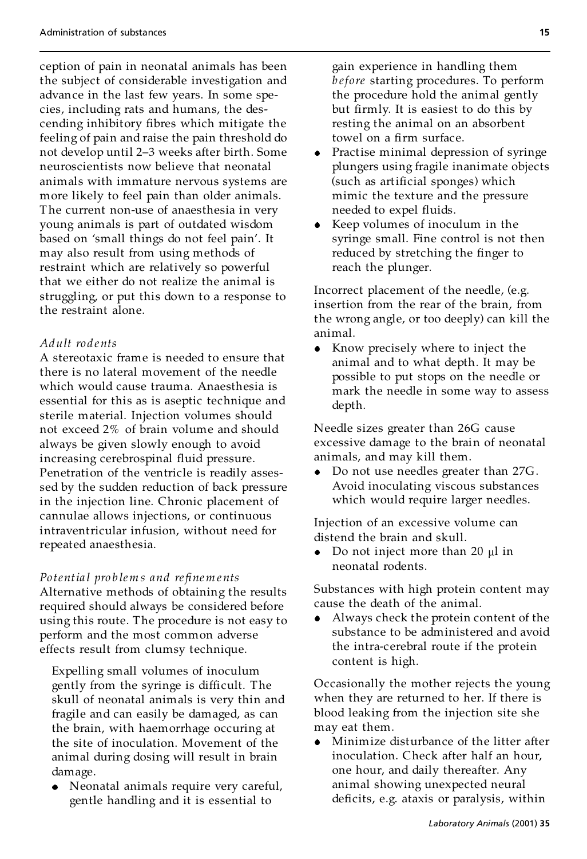ception of pain in neonatal animals has been the subject of considerable investigation and advance in the last few years. In some species, including rats and humans, the descending inhibitory fibres which mitigate the feeling of pain and raise the pain threshold do not develop until 2-3 weeks after birth. Some neuroscientists now believe that neonatal animals with immature nervous systems are more likely to feel pain than older animals. The current non-use of anaesthesia in very young animals is part of outdated wisdom based on 'small things do not feel pain'. It may also result from using methods of restraint which are relatively so powerful that we either do not realize the animal is struggling, or put this down to a response to the restraint alone.

#### *Adult ro dents*

A stereotaxic frame is needed to ensure that there is no lateral movement of the needle which would cause trauma. Anaesthesia is essential for this as is aseptic technique and sterile material. Injection volumes should not exceed 2% of brain volume and should always be given slowly enough to avoid increasing cerebrospinal fluid pressure. Penetration of the ventricle is readily assessed by the sudden reduction of back pressure in the injection line. Chronic placement of cannulae allows injections, or continuous intraventricular infusion, without need for repeated anaesthesia.

*Po tentia l pro b lem s and re®nem ents* Alternative methods of obtaining the results required should always be considered before using this route. The procedure is not easy to perform and the most common adverse effects result from clumsy technique.

Expelling small volumes of inoculum gently from the syringe is difficult. The skull of neonatal animals is very thin and fragile and can easily be damaged, as can the brain, with haemorrhage occuring at the site of inoculation. Movement of the animal during dosing will result in brain damage.

Neonatal animals require very careful, gentle handling and it is essential to

gain experience in handling them *b efore* starting procedures. To perform the procedure hold the animal gently but firmly. It is easiest to do this by resting the animal on an absorbent towel on a firm surface.

- Practise minimal depression of syringe plungers using fragile inanimate objects (such as artificial sponges) which mimic the texture and the pressure needed to expel fluids.
- Keep volumes of inoculum in the syringe small. Fine control is not then reduced by stretching the finger to reach the plunger.

Incorrect placement of the needle, (e.g. insertion from the rear of the brain, from the wrong angle, or too deeply) can kill the animal.

• Know precisely where to inject the animal and to what depth. It may be possible to put stops on the needle or mark the needle in some way to assess depth.

Needle sizes greater than 26G cause excessive damage to the brain of neonatal animals, and may kill them.

Do not use needles greater than 27G. Avoid inoculating viscous substances which would require larger needles.

Injection of an excessive volume can distend the brain and skull.

• Do not inject more than 20  $\mu$ l in neonatal rodents.

Substances with high protein content may cause the death of the animal.

Always check the protein content of the substance to be administered and avoid the intra-cerebral route if the protein content is high.

Occasionally the mother rejects the young when they are returned to her. If there is blood leaking from the injection site she may eat them.

Minimize disturbance of the litter after inoculation. Check after half an hour, one hour, and daily thereafter. Any animal showing unexpected neural deficits, e.g. ataxis or paralysis, within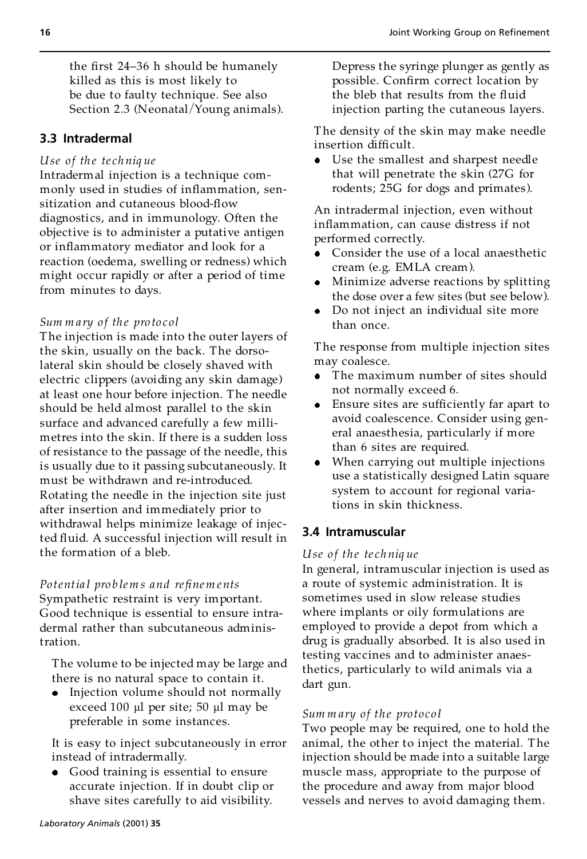the first 24-36 h should be humanely killed as this is most likely to be due to faulty technique. See also Section 2.3 (Neonatal/Young animals).

## **3.3 Intradermal**

#### *Use of th e te ch niq ue*

Intradermal injection is a technique com monly used in studies of inflammation, sensitization and cutaneous blood-flow diagnostics, and in immunology. Often the objective is to administer a putative antigen or inflammatory mediator and look for a reaction (oedema, swelling or redness) which might occur rapidly or after a period of time from minutes to days.

#### *Sum m a ry o f th e pro to col*

The injection is made into the outer layers of the skin, usually on the back. The dorsolateral skin should be closely shaved with electric clippers (avoiding any skin damage) at least one hour before injection. The needle should be held almost parallel to the skin surface and advanced carefully a few milli metres into the skin. If there is a sudden loss of resistance to the passage of the needle, this is usually due to it passing subcutaneously. It must be withdrawn and re-introduced. Rotating the needle in the injection site just after insertion and immediately prior to withdrawal helps minimize leakage of injected fluid. A successful injection will result in the formation of a bleb.

## *Po tentia l pro b lem s and re®nem ents* Sympathetic restraint is very important. Good technique is essential to ensure intradermal rather than subcutaneous administration.

The volume to be injected may be large and there is no natural space to contain it.

• Injection volume should not normally exceed 100  $\mu$ l per site; 50  $\mu$ l may be preferable in some instances.

It is easy to inject subcutaneously in error instead of intradermally.

Good training is essential to ensure accurate injection. If in doubt clip or shave sites carefully to aid visibility.

Depress the syringe plunger as gently as possible. Confirm correct location by the bleb that results from the fluid injection parting the cutaneous layers.

The density of the skin may make needle insertion difficult.

Use the smallest and sharpest needle that will penetrate the skin (27G for rodents; 25G for dogs and primates).

An intradermal injection, even without inflammation, can cause distress if not performed correctly.

- Consider the use of a local anaesthetic cream (e.g. EMLA cream).
- Minimize adverse reactions by splitting the dose over a few sites (but see below).
- Do not inject an individual site more than once.

The response from multiple injection sites may coalesce.

- The maximum number of sites should not normally exceed 6.
- Ensure sites are sufficiently far apart to avoid coalescence. Consider using general anaesthesia, particularly if more than 6 sites are required.
- When carrying out multiple injections use a statistically designed Latin square system to account for regional variations in skin thickness.

#### **3.4 Intramuscular**

#### *Use o f the te ch niq ue*

In general, intramuscular injection is used as a route of systemic administration. It is sometimes used in slow release studies where implants or oily formulations are employed to provide a depot from which a drug is gradually absorbed. It is also used in testing vaccines and to administer anaesthetics, particularly to wild animals via a dart gun.

#### *Sum m ary of the pro toco l*

Two people may be required, one to hold the animal, the other to inject the material. The injection should be made into a suitable large muscle mass, appropriate to the purpose of the procedure and away from major blood vessels and nerves to avoid damaging them.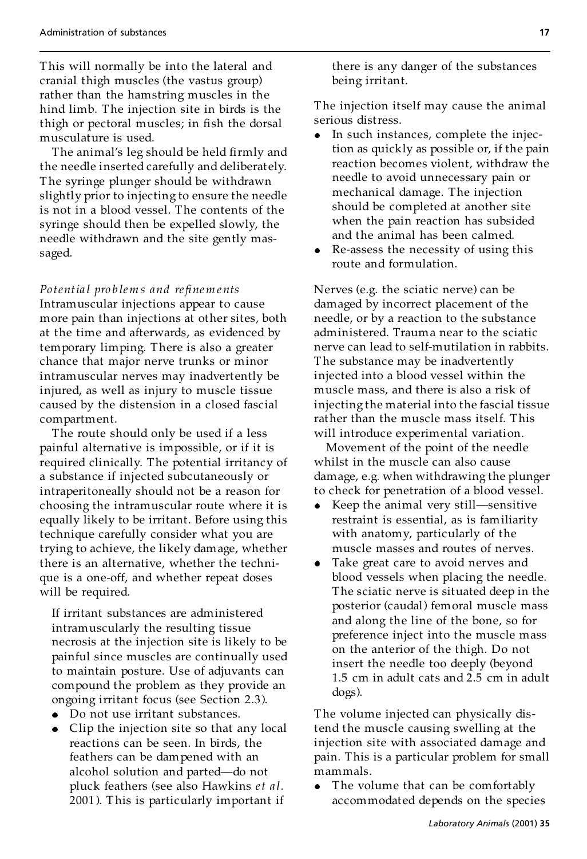This will normally be into the lateral and cranial thigh muscles (the vastus group) rather than the hamstring muscles in the hind limb. The injection site in birds is the thigh or pectoral muscles; in fish the dorsal musculature is used.

The animal's leg should be held firmly and the needle inserted carefully and deliberately. The syringe plunger should be withdrawn slightly prior to injecting to ensure the needle is not in a blood vessel. The contents of the syringe should then be expelled slowly, the needle withdrawn and the site gently massaged.

*Po tentia l pro b lem s and re®nem ents* Intramuscular injections appear to cause more pain than injections at other sites, both at the time and afterwards, as evidenced by temporary limping. There is also a greater chance that major nerve trunks or minor intramuscular nerves may inadvertently be injured, as well as injury to muscle tissue caused by the distension in a closed fascial compartment.

The route should only be used if a less painful alternative is impossible, or if it is required clinically. The potential irritancy of a substance if injected subcutaneously or intraperitoneally should not be a reason for choosing the intramuscular route where it is equally likely to be irritant. Before using this technique carefully consider what you are trying to achieve, the likely damage, whether there is an alternative, whether the technique is a one-off, and whether repeat doses will be required.

If irritant substances are administered intramuscularly the resulting tissue necrosis at the injection site is likely to be painful since muscles are continually used to maintain posture. Use of adjuvants can compound the problem as they provide an ongoing irritant focus (see Section 2.3).

- Do not use irritant substances.
- Clip the injection site so that any local reactions can be seen. In birds, the feathers can be dampened with an alcohol solution and parted-do not pluck feathers (see also Hawkins *et a l*. 2001 ). This is particularly important if

there is any danger of the substances being irritant.

The injection itself may cause the animal serious distress.

- In such instances, complete the injection as quickly as possible or, if the pain reaction becomes violent, withdraw the needle to avoid unnecessary pain or mechanical damage. The injection should be completed at another site when the pain reaction has subsided and the animal has been calmed.
- Re-assess the necessity of using this route and formulation.

Nerves (e.g. the sciatic nerve) can be damaged by incorrect placement of the needle, or by a reaction to the substance administered. Trauma near to the sciatic nerve can lead to self-mutilation in rabbits. The substance may be inadvertently injected into a blood vessel within the muscle mass, and there is also a risk of injecting the material into the fascial tissue rather than the muscle mass itself. This will introduce experimental variation.

Movement of the point of the needle whilst in the muscle can also cause damage, e.g. when withdrawing the plunger to check for penetration of a blood vessel.

- Keep the animal very still—sensitive restraint is essential, as is familiarity with anatomy, particularly of the muscle masses and routes of nerves.
- Take great care to avoid nerves and blood vessels when placing the needle. The sciatic nerve is situated deep in the posterior (caudal) femoral muscle mass and along the line of the bone, so for preference inject into the muscle mass on the anterior of the thigh. Do not insert the needle too deeply (beyond 1.5 cm in adult cats and 2.5 cm in adult dogs).

The volume injected can physically distend the muscle causing swelling at the injection site with associated damage and pain. This is a particular problem for small mammals.

The volume that can be comfortably accommodated depends on the species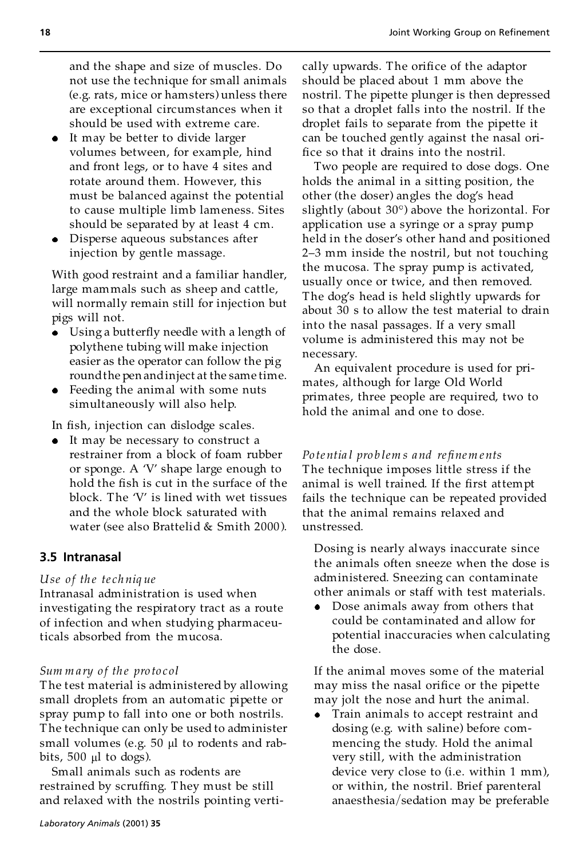and the shape and size of muscles. Do not use the technique for small animals (e.g. rats, mice or hamsters) unless there are exceptional circumstances when it should be used with extreme care.

- It may be better to divide larger volumes between, for example, hind and front legs, or to have 4 sites and rotate around them. However, this must be balanced against the potential to cause multiple limb lameness. Sites should be separated by at least 4 cm.
- Disperse aqueous substances after injection by gentle massage.

With good restraint and a familiar handler, large mammals such as sheep and cattle, will normally remain still for injection but pigs will not.

- Using a butterfly needle with a length of polythene tubing will make injection easier as the operator can follow the pig roundthe pen andinject at the same time.
- Feeding the animal with some nuts simultaneously will also help.

In fish, injection can dislodge scales.

• It may be necessary to construct a restrainer from a block of foam rubber or sponge. A `V' shape large enough to hold the fish is cut in the surface of the block. The 'V' is lined with wet tissues and the whole block saturated with water (see also Brattelid & Smith 2000 ).

# **3.5 Intranasal**

## *Use of th e te ch niq ue*

Intranasal administration is used when investigating the respiratory tract as a route of infection and when studying pharmaceuticals absorbed from the mucosa.

## *Sum m a ry o f th e pro to col*

The test material is administered by allowing small droplets from an automatic pipette or spray pump to fall into one or both nostrils. The technique can only be used to administer small volumes (e.g.  $50 \mu l$  to rodents and rabbits,  $500 \mu l$  to dogs).

Small animals such as rodents are restrained by scruffing. They must be still and relaxed with the nostrils pointing vertically upwards. The orifice of the adaptor should be placed about 1 mm above the nostril. The pipette plunger is then depressed so that a droplet falls into the nostril. If the droplet fails to separate from the pipette it can be touched gently against the nasal ori fice so that it drains into the nostril.

Two people are required to dose dogs. One holds the animal in a sitting position, the other (the doser) angles the dog's head slightly (about  $30^\circ$ ) above the horizontal. For application use a syringe or a spray pump held in the doser's other hand and positioned 2-3 mm inside the nostril, but not touching the mucosa. The spray pump is activated, usually once or twice, and then removed. The dog's head is held slightly upwards for about 30 s to allow the test material to drain into the nasal passages. If a very small volume is administered this may not be necessary.

An equivalent procedure is used for pri mates, although for large Old World primates, three people are required, two to hold the animal and one to dose.

*Po te ntia l pro b lem s and re®nem ents*

The technique imposes little stress if the animal is well trained. If the first attempt fails the technique can be repeated provided that the animal remains relaxed and unstressed.

Dosing is nearly always inaccurate since the animals often sneeze when the dose is administered. Sneezing can contaminate other animals or staff with test materials.

Dose animals away from others that could be contaminated and allow for potential inaccuracies when calculating the dose.

If the animal moves some of the material may miss the nasal orifice or the pipette may jolt the nose and hurt the animal.

Train animals to accept restraint and dosing (e.g. with saline) before com mencing the study. Hold the animal very still, with the administration device very close to (i.e. within 1 mm), or within, the nostril. Brief parenteral anaesthesia/sedation may be preferable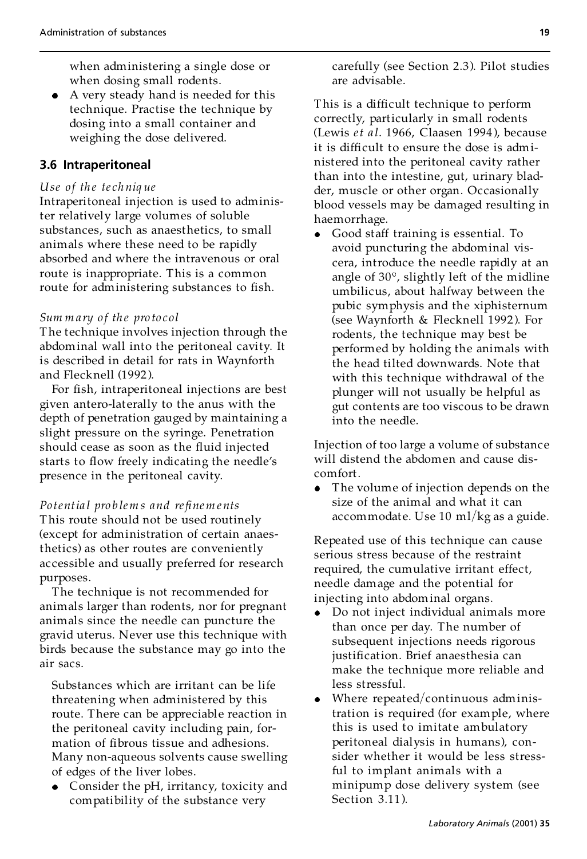when administering a single dose or when dosing small rodents.

A very steady hand is needed for this technique. Practise the technique by dosing into a small container and weighing the dose delivered.

# **3.6 Intraperitoneal**

#### *Use of th e te ch niq ue*

Intraperitoneal injection is used to administer relatively large volumes of soluble substances, such as anaesthetics, to small animals where these need to be rapidly absorbed and where the intravenous or oral route is inappropriate. This is a common route for administering substances to fish.

#### *Sum m a ry o f th e pro to col*

The technique involves injection through the abdominal wall into the peritoneal cavity. It is described in detail for rats in Waynforth and Flecknell (1992 ).

For fish, intraperitoneal injections are best given antero-laterally to the anus with the depth of penetration gauged by maintaining a slight pressure on the syringe. Penetration should cease as soon as the fluid injected starts to flow freely indicating the needle's presence in the peritoneal cavity.

*Potential problems and refinements* This route should not be used routinely (except for administration of certain anaesthetics) as other routes are conveniently accessible and usually preferred for research purposes.

The technique is not recommended for animals larger than rodents, nor for pregnant animals since the needle can puncture the gravid uterus. Never use this technique with birds because the substance may go into the air sacs.

Substances which are irritant can be life threatening when administered by this route. There can be appreciable reaction in the peritoneal cavity including pain, for mation of fibrous tissue and adhesions. Many non-aqueous solvents cause swelling of edges of the liver lobes.

Consider the pH, irritancy, toxicity and compatibility of the substance very

carefully (see Section 2.3). Pilot studies are advisable.

This is a difficult technique to perform correctly, particularly in small rodents (Lewis *et a l*. 1966, Claasen 1994 ), because it is difficult to ensure the dose is administered into the peritoneal cavity rather than into the intestine, gut, urinary bladder, muscle or other organ. Occasionally blood vessels may be damaged resulting in haemorrhage.

Good staff training is essential. To avoid puncturing the abdominal viscera, introduce the needle rapidly at an angle of  $30^\circ$ , slightly left of the midline umbilicus, about halfway between the pubic symphysis and the xiphisternum (see Waynforth & Flecknell 1992 ). For rodents, the technique may best be performed by holding the animals with the head tilted downwards. Note that with this technique withdrawal of the plunger will not usually be helpful as gut contents are too viscous to be drawn into the needle.

Injection of too large a volume of substance will distend the abdomen and cause discomfort.

• The volume of injection depends on the size of the animal and what it can accommodate. Use 10 ml/kg as a guide.

Repeated use of this technique can cause serious stress because of the restraint required, the cumulative irritant effect, needle damage and the potential for injecting into abdominal organs.

- Do not inject individual animals more  $\bullet$ than once per day. The number of subsequent injections needs rigorous justification. Brief anaesthesia can make the technique more reliable and less stressful.
- Where repeated/continuous administration is required (for example, where this is used to imitate ambulatory peritoneal dialysis in humans), con sider whether it would be less stressful to implant animals with a minipump dose delivery system (see Section 3.11).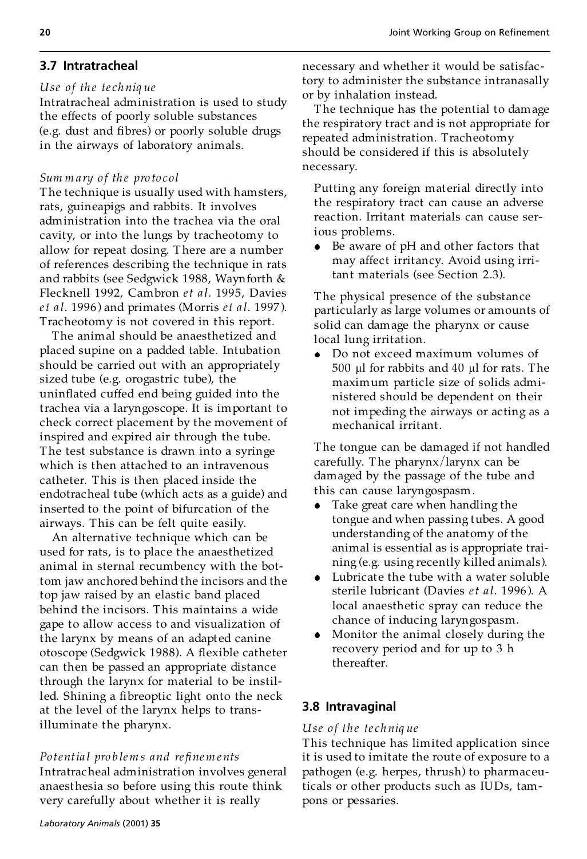# **3.7 Intratracheal**

#### *Use of th e te ch niq ue*

Intratracheal administration is used to study the effects of poorly soluble substances (e.g. dust and fibres) or poorly soluble drugs in the airways of laboratory animals.

#### *Sum m a ry o f th e pro to col*

The technique is usually used with hamsters, rats, guineapigs and rabbits. It involves administration into the trachea via the oral cavity, or into the lungs by tracheotomy to allow for repeat dosing. There are a number of references describing the technique in rats and rabbits (see Sedgwick 1988, Waynforth & Flecknell 1992, Cambron *et a l*. 1995, Davies *et a l*. 1996 ) and primates (Morris *et a l*. 1997 ). Tracheotomy is not covered in this report.

The animal should be anaesthetized and placed supine on a padded table. Intubation should be carried out with an appropriately sized tube (e.g. orogastric tube), the uninflated cuffed end being guided into the trachea via a laryngoscope. It is important to check correct placement by the movement of inspired and expired air through the tube. The test substance is drawn into a syringe which is then attached to an intravenous catheter. This is then placed inside the endotracheal tube (which acts as a guide) and inserted to the point of bifurcation of the airways. This can be felt quite easily.

An alternative technique which can be used for rats, is to place the anaesthetized animal in sternal recumbency with the bottom jaw anchored behind the incisors and the top jaw raised by an elastic band placed behind the incisors. This maintains a wide gape to allow access to and visualization of the larynx by means of an adapt ed canine otoscope (Sedgwick 1988). A flexible catheter can then be passed an appropriate distance through the larynx for material to be instilled. Shining a fibreoptic light onto the neck at the level of the larynx helps to transilluminate the pharynx.

*Po tentia l pro b lem s and re®nem ents* Intratracheal administration involves general anaesthesia so before using this route think very carefully about whether it is really

necessary and whether it would be satisfac tory to administer the substance intranasally or by inhalation instead.

The technique has the potential to damage the respiratory tract and is not appropriate for repeated administration. Tracheotomy should be considered if this is absolutely necessary.

Putting any foreign material directly into the respiratory tract can cause an adverse reaction. Irritant materials can cause serious problems.

Be aware of pH and other factors that may affect irritancy. Avoid using irritant materials (see Section 2.3).

The physical presence of the substance particularly as large volumes or amounts of solid can damage the pharynx or cause local lung irritation.

Do not exceed maximum volumes of  $500 \mu l$  for rabbits and  $40 \mu l$  for rats. The maximum particle size of solids administered should be dependent on their not impeding the airways or acting as a mechanical irritant.

The tongue can be damaged if not handled carefully. The pharynx/larynx can be damaged by the passage of the tube and this can cause laryngospasm.

- Take great care when handling the tongue and when passing tubes. A good understanding of the anatomy of the animal is essential as is appropriate training (e.g. using recently killed animals).
- Lubricate the tube with a water soluble sterile lubricant (Davies *et a l*. 1996 ). A local anaesthetic spray can reduce the chance of inducing laryngospasm.
- Monitor the animal closely during the recovery period and for up to 3 h thereafter.

## **3.8 Intravaginal**

#### *Use o f the te ch niq ue*

This technique has limited application since it is used to imitate the route of exposure to a pathogen (e.g. herpes, thrush) to pharmaceuticals or other products such as IUDs, tam pons or pessaries.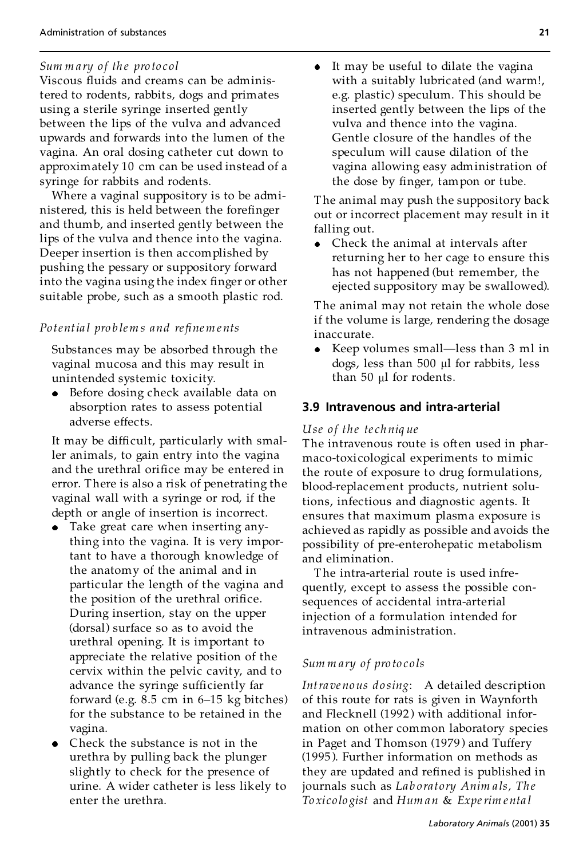#### *Sum m a ry o f th e pro to col*

Viscous fluids and creams can be administered to rodents, rabbit s, dogs and primates using a sterile syringe inserted gently between the lips of the vulva and advanced upwards and forwards into the lumen of the vagina. An oral dosing catheter cut down to approximately 10 cm can be used instead of a syringe for rabbits and rodents.

Where a vaginal suppository is to be admi nistered, this is held between the forefinger and thumb, and inserted gently between the lips of the vulva and thence into the vagina. Deeper insertion is then accomplished by pushing the pessary or suppository forward into the vagina using the index finger or other suitable probe, such as a smooth plastic rod.

#### *Po tentia l pro b lem s and re®nem ents*

Substances may be absorbed through the vaginal mucosa and this may result in unintended systemic toxicity.

Before dosing check available data on absorption rates to assess potential adverse effects.

It may be difficult, particularly with smaller animals, to gain entry into the vagina and the urethral orifice may be entered in error. There is also a risk of penetrating the vaginal wall with a syringe or rod, if the depth or angle of insertion is incorrect.

- Take great care when inserting anything into the vagina. It is very important to have a thorough knowledge of the anatomy of the animal and in particular the length of the vagina and the position of the urethral orifice. During insertion, stay on the upper (dorsal) surface so as to avoid the urethral opening. It is important to appreciate the relative position of the cervix within the pelvic cavity, and to advance the syringe sufficiently far forward (e.g.  $8.5 \text{ cm}$  in  $6-15 \text{ kg}$  bitches) for the substance to be retained in the vagina.
- Check the substance is not in the urethra by pulling back the plunger slightly to check for the presence of urine. A wider catheter is less likely to enter the urethra.

It may be useful to dilate the vagina  $\bullet$ with a suitably lubricated (and warm!, e.g. plastic) speculum. This should be inserted gently between the lips of the vulva and thence into the vagina. Gentle closure of the handles of the speculum will cause dilation of the vagina allowing easy administration of the dose by finger, tampon or tube.

The animal may push the suppository back out or incorrect placement may result in it falling out.

• Check the animal at intervals after returning her to her cage to ensure this has not happened (but remember, the ejected suppository may be swallowed).

The animal may not retain the whole dose if the volume is large, rendering the dosage inaccurate.

 $\bullet$  Keep volumes small—less than 3 ml in dogs, less than 500 µl for rabbits, less than 50 µl for rodents.

#### **3.9 Intravenous and intra-arterial**

#### *Use o f the te ch niq ue*

The intravenous route is often used in phar maco-toxicological experiments to mimic the route of exposure to drug formulations, blood-replacement products, nutrient solutions, infectious and diagnostic agents. It ensures that maximum plasma exposure is achieved as rapidly as possible and avoids the possibility of pre-enterohepatic metabolism and elimination.

The intra-arterial route is used infrequently, except to assess the possible consequences of accidental intra-arterial injection of a formulation intended for intravenous administration.

#### *Sum m ary of pro to co ls*

*Intra ve no us do sing*: A detailed description of this route for rats is given in Waynforth and Flecknell (1992) with additional information on other common laboratory species in Paget and Thomson (1979 ) and Tuffery (1995 ). Further information on methods as they are updated and refined is published in journals such as *Lab oratory Anim a ls, Th e To xi co lo gist* and *Hum an* & *Experim enta l*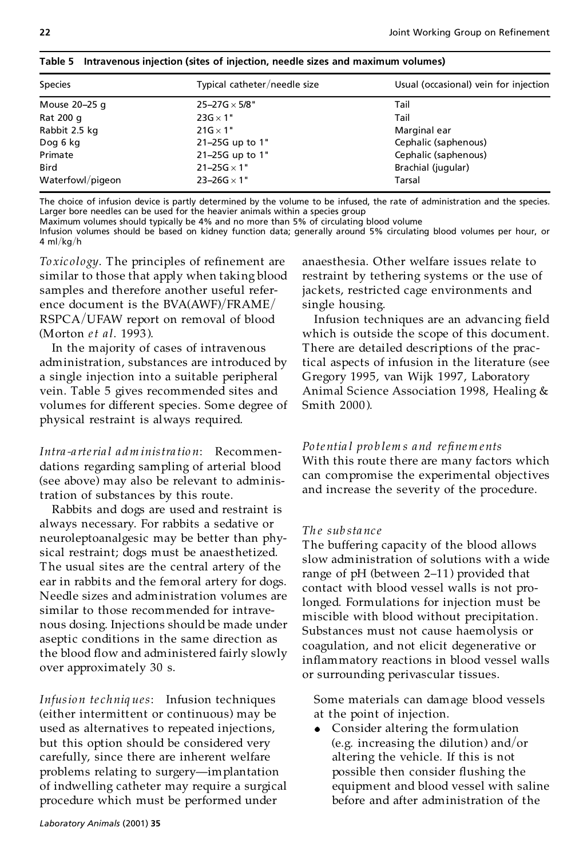| <b>Species</b>   | Typical catheter/needle size | Usual (occasional) vein for injection |
|------------------|------------------------------|---------------------------------------|
| Mouse 20-25 g    | $25 - 27G \times 5/8$ "      | Tail                                  |
| Rat 200 g        | $23G \times 1"$              | Tail                                  |
| Rabbit 2.5 kg    | $21G \times 1"$              | Marginal ear                          |
| Dog 6 kg         | 21-25G up to 1"              | Cephalic (saphenous)                  |
| Primate          | 21-25G up to 1"              | Cephalic (saphenous)                  |
| <b>Bird</b>      | $21 - 25G \times 1$ "        | Brachial (jugular)                    |
| Waterfowl/pigeon | $23 - 26G \times 1$ "        | Tarsal                                |

**Table 5 Intravenous injection (sites of injection, needle sizes and maximum volumes)**

The choice of infusion device is partly determined by the volume to be infused, the rate of administration and the species. Larger bore needles can be used for the heavier animals within a species group

Maximum volumes should typically be 4% and no more than 5% of circulating blood volume

Infusion volumes should be based on kidney function data; generally around 5% circulating blood volumes per hour, or 4 ml/kg/h

*Toxicology*. The principles of refinement are similar to those that apply when taking blood samples and therefore another useful reference document is the  $BVA(AWF)/FRAME/$ RSPCA/UFAW report on removal of blood (Morton *et a l*. 1993 ).

In the majority of cases of intravenous administration, substances are introduced by a single injection into a suitable peripheral vein. Table 5 gives recommended sites and volumes for different species. Some degree of physical restraint is always required.

*Intra -a rteria l a dm inistra tio n*: Recommendations regarding sampling of arterial blood (see above) may also be relevant to administration of substances by this route.

Rabbits and dogs are used and restraint is always necessary. For rabbits a sedative or neuroleptoanalgesic may be better than physical restraint; dogs must be anaesthetized. The usual sites are the central artery of the ear in rabbits and the femoral artery for dogs. Needle sizes and administration volumes are similar to those recommended for intrave nous dosing. Injections should be made under aseptic conditions in the same direction as the blood flow and administered fairly slowly over approximately 30 s.

*Infusio n te chniq ues*: Infusion techniques (either intermittent or continuous) may be used as alternatives to repeated injections, but this option should be considered very carefully, since there are inherent welfare problems relating to surgery-implantation of indwelling catheter may require a surgical procedure which must be performed under

anaesthesia. Other welfare issues relate to restraint by tethering systems or the use of jackets, restricted cage environments and single housing.

Infusion techniques are an advancing field which is outside the scope of this document. There are detailed descriptions of the practical aspects of infusion in the literature (see Gregory 1995, van Wijk 1997, Laboratory Animal Science Association 1998, Healing & Smith 2000 ).

## *Po te ntia l pro b lem s and re®nem ents*

With this route there are many factors which can compromise the experimental objectives and increase the severity of the procedure.

## *Th e sub sta nc e*

The buffering capacity of the blood allows slow administration of solutions with a wide range of  $pH$  (between 2–11) provided that contact with blood vessel walls is not prolonged. Formulations for injection must be miscible with blood without precipitation. Substances must not cause haemolysis or coagulation, and not elicit degenerative or inflammatory reactions in blood vessel walls or surrounding perivascular tissues.

Some materials can damage blood vessels at the point of injection.

Consider altering the formulation (e.g. increasing the dilution) and/or altering the vehicle. If this is not possible then consider flushing the equipment and blood vessel with saline before and after administration of the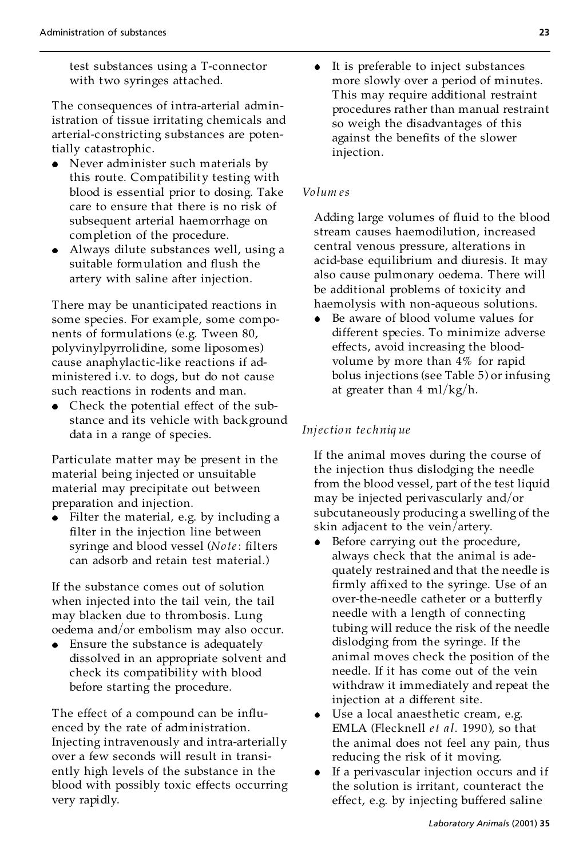test substances using a T-connector with two syringes attached.

The consequences of intra-arterial administration of tissue irritating chemicals and arterial-constricting substances are potentially catastrophic.

- Never administer such materials by this route. Compatibility testing with blood is essential prior to dosing. Take care to ensure that there is no risk of subsequent arterial haemorrhage on completion of the procedure.
- Always dilute substances well, using a suitable formulation and flush the artery with saline after injection.

There may be unanticipated reactions in some species. For example, some components of formulations (e.g. Tween 80, polyvinylpyrrolidine, some liposomes) cause anaphylactic-like reactions if ad ministered i.v. to dogs, but do not cause such reactions in rodents and man.

Check the potential effect of the substance and its vehicle with background data in a range of species.

Particulate matter may be present in the material being injected or unsuitable material may precipitate out between preparation and injection.

Filter the material, e.g. by including a filter in the injection line between syringe and blood vessel (*Note*: filters can adsorb and retain test material.)

If the substance comes out of solution when injected into the tail vein, the tail may blacken due to thrombosis. Lung oedema and/or embolism may also occur.

Ensure the substance is adequately dissolved in an appropriate solvent and check its compatibility with blood before starting the procedure.

The effect of a compound can be influenced by the rate of administration. Injecting intravenously and intra-arterially over a few seconds will result in transiently high levels of the substance in the blood with possibly toxic effects occurring very rapidly.

It is preferable to inject substances  $\bullet$ more slowly over a period of minutes. This may require additional restraint procedures rather than manual restraint so weigh the disadvantages of this against the benefits of the slower injection.

#### *Vo lum es*

Adding large volumes of fluid to the blood stream causes haemodilution, increased central venous pressure, alterations in acid-base equilibrium and diuresis. It may also cause pulmonary oedema. There will be additional problems of toxicity and haemolysis with non-aqueous solutions.

Be aware of blood volume values for different species. To minimize adverse effects, avoid increasing the blood volume by more than 4% for rapid bolus injections (see Table 5) or infusing at greater than 4 ml/kg/h.

#### *Inje c tio n te chniq ue*

If the animal moves during the course of the injection thus dislodging the needle from the blood vessel, part of the test liquid may be injected perivascularly and/or subcutaneously producing a swelling of the skin adjacent to the vein/artery.

- Before carrying out the procedure, always check that the animal is adequately restrained and that the needle is firmly affixed to the syringe. Use of an over-the-needle catheter or a butterfly needle with a length of connecting tubing will reduce the risk of the needle dislodging from the syringe. If the animal moves check the position of the needle. If it has come out of the vein withdraw it immediately and repeat the injection at a different site.
- Use a local anaesthetic cream, e.g. EMLA (Flecknell *et a l*. 1990 ), so that the animal does not feel any pain, thus reducing the risk of it moving.
- If a perivascular injection occurs and if the solution is irritant, counteract the effect, e.g. by injecting buffered saline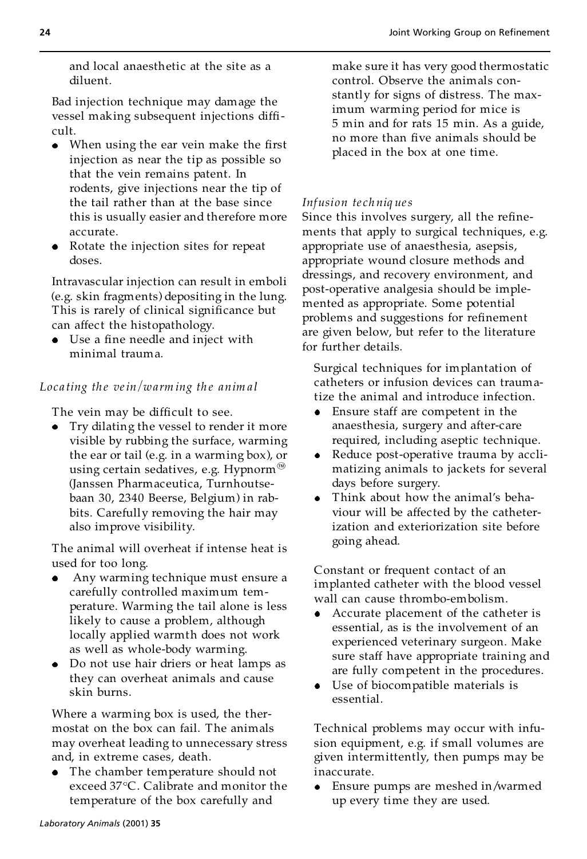and local anaesthetic at the site as a diluent.

Bad injection technique may damage the vessel making subsequent injections difficult.

- When using the ear vein make the first injection as near the tip as possible so that the vein remains patent. In rodents, give injections near the tip of the tail rather than at the base since this is usually easier and therefore more accurate.
- Rotate the injection sites for repeat doses.

Intravascular injection can result in emboli (e.g. skin fragments) depositing in the lung. This is rarely of clinical significance but can affect the histopathology.

Use a fine needle and inject with minimal trauma.

## *Locating the vein/warming the animal*

The vein may be difficult to see.

Try dilating the vessel to render it more visible by rubbing the surface, warming the ear or tail (e.g. in a warming box), or using certain sedatives, e.g. Hypnorm<sup>®</sup> (Janssen Pharmaceutica, Turnhoutsebaan 30, 2340 Beerse, Belgium) in rabbits. Carefully removing the hair may also improve visibility.

The animal will overheat if intense heat is used for too long.

- Any warming technique must ensure a carefully controlled maximum tem perature. Warming the tail alone is less likely to cause a problem, although locally applied warmth does not work as well as whole-body warming.
- Do not use hair driers or heat lamps as they can overheat animals and cause skin burns.

Where a warming box is used, the ther mostat on the box can fail. The animals may overheat leading to unnecessary stress and, in extreme cases, death.

The chamber temperature should not exceed 37°C. Calibrate and monitor the temperature of the box carefully and

make sure it has very good thermostatic control. Observe the animals constantly for signs of distress. The maximum warming period for mice is 5 min and for rats 15 min. As a guide, no more than five animals should be placed in the box at one time.

## *Infusion te ch niq ues*

Since this involves surgery, all the refinements that apply to surgical techniques, e.g. appropriate use of anaesthesia, asepsis, appropriate wound closure methods and dressings, and recovery environment, and post-operative analgesia should be imple mented as appropriate. Some potential problems and suggestions for refinement are given below, but refer to the literature for further details.

Surgical techniques for implantation of catheters or infusion devices can traumatize the animal and introduce infection.

- Ensure staff are competent in the anaesthesia, surgery and after-care required, including aseptic technique.
- Reduce post-operative trauma by accli matizing animals to jackets for several days before surgery.
- Think about how the animal's behaviour will be affected by the catheterization and exteriorization site before going ahead.

Constant or frequent contact of an implanted catheter with the blood vessel wall can cause thrombo-embolism.

- Accurate placement of the catheter is essential, as is the involvement of an experienced veterinary surgeon. Make sure staff have appropriate training and are fully competent in the procedures.
- Use of biocompatible materials is essential.

Technical problems may occur with infusion equipment, e.g. if small volumes are given intermittently, then pumps may be inaccurate.

Ensure pumps are meshed in/warmed up every time they are used.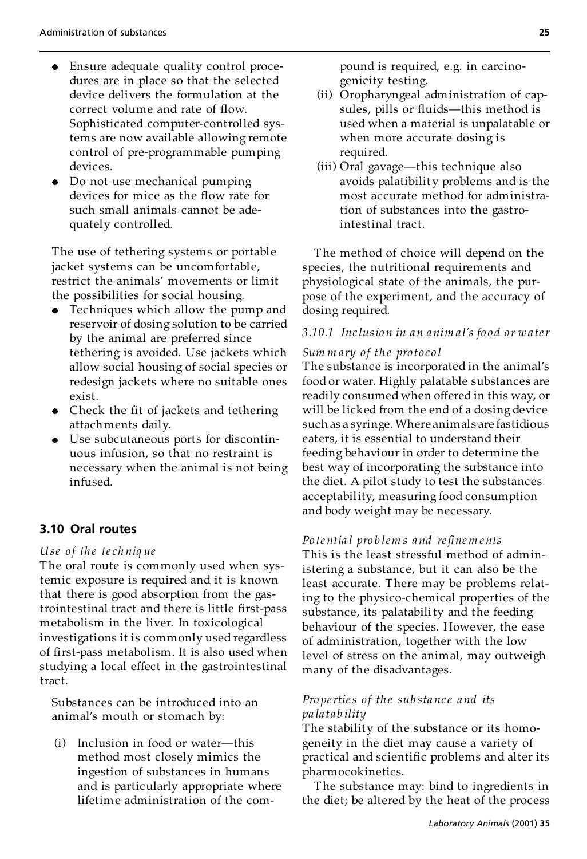- Ensure adequate quality control procedures are in place so that the selected device delivers the formulation at the correct volume and rate of flow. Sophisticated computer-controlled systems are now available allowing remote control of pre-programmable pumping devices.
- Do not use mechanical pumping devices for mice as the flow rate for such small animals cannot be adequately controlled.

The use of tethering systems or portable jacket systems can be uncomfortable, restrict the animals' movements or limit the possibilities for social housing.

- Techniques which allow the pump and reservoir of dosing solution to be carried by the animal are preferred since tethering is avoided. Use jackets which allow social housing of social species or redesign jackets where no suitable ones exist.
- Check the fit of jackets and tethering attachments daily.
- Use subcutaneous ports for discontinuous infusion, so that no restraint is necessary when the animal is not being infused.

# **3.10 Oral routes**

#### *Use of th e te ch niq ue*

The oral route is commonly used when systemic exposure is required and it is known that there is good absorption from the gastrointestinal tract and there is little first-pass metabolism in the liver. In toxicological investigations it is commonly used regardless of first-pass metabolism. It is also used when studying a local effect in the gastrointestinal tract.

Substances can be introduced into an animal's mouth or stomach by:

(i) Inclusion in food or water-this method most closely mimics the ingestion of substances in humans and is particularly appropriate where lifetime administration of the compound is required, e.g. in carcinogenicity testing.

- (ii) Oropharyngeal administration of capsules, pills or fluids-this method is used when a material is unpalatable or when more accurate dosing is required.
- (iii) Oral gavage—this technique also avoids palatibilit y problems and is the most accurate method for administration of substances into the gastrointestinal tract.

The method of choice will depend on the species, the nutritional requirements and physiological state of the animals, the purpose of the experiment, and the accuracy of dosing required.

### *3.10.1 Inc lusio n in an anim a l's fo o d o r wa ter*

#### *Sum m ary of the pro toco l*

The substance is incorporated in the animal's food or water. Highly palatable substances are readily consumed when offered in this way, or will be licked from the end of a dosing device such as a syringe. Where animals are fastidious eaters, it is essential to understand their feeding behaviour in order to determine the best way of incorporating the substance into the diet. A pilot study to test the substances acceptability, measuring food consumption and body weight may be necessary.

#### *Po te ntia l pro b lem s and re®nem ents*

This is the least stressful method of administering a substance, but it can also be the least accurate. There may be problems relating to the physico-chemical properties of the substance, its palatability and the feeding behaviour of the species. However, the ease of administration, together with the low level of stress on the animal, may outweigh many of the disadvantages.

#### *Pro perties of th e sub sta nc e and its pa la tab ility*

The stability of the substance or its homogeneity in the diet may cause a variety of practical and scientific problems and alter its pharmocokinetics.

The substance may: bind to ingredients in the diet; be altered by the heat of the process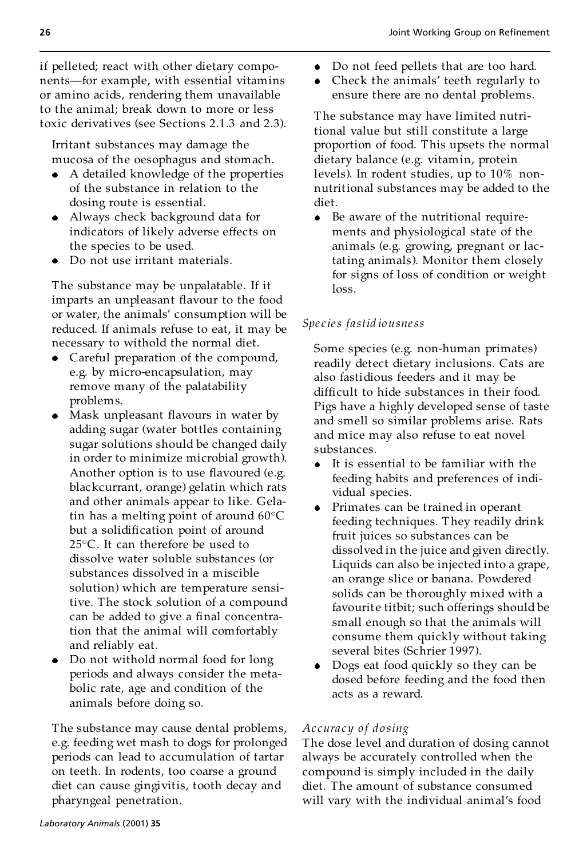if pelleted; react with other dietary compo nents-for example, with essential vitamins or amino acids, rendering them unavailable to the animal; break down to more or less toxic derivatives (see Sections 2.1.3 and 2.3).

Irritant substances may damage the mucosa of the oesophagus and stomach.

- A detailed knowledge of the properties of the substance in relation to the dosing route is essential.
- Always check background data for indicators of likely adverse effects on the species to be used.
- Do not use irritant materials.

The substance may be unpalatable. If it imparts an unpleasant flavour to the food or water, the animals' consumption will be reduced. If animals refuse to eat, it may be necessary to withold the normal diet.

- Careful preparation of the compound, e.g. by micro-encapsulation, may remove many of the palatability problems.
- Mask unpleasant flavours in water by adding sugar (water bottles containing sugar solutions should be changed daily in order to minimize microbial growth). Another option is to use flavoured (e.g. blackcurrant, orange) gelatin which rats and other animals appear to like. Gelatin has a melting point of around  $60^{\circ}$ C but a solidification point of around  $25^{\circ}$ C. It can therefore be used to dissolve water soluble substances (or substances dissolved in a miscible solution) which are temperature sensitive. The stock solution of a compound can be added to give a final concentration that the animal will comfortably and reliably eat.
- Do not withold normal food for long periods and always consider the metabolic rate, age and condition of the animals before doing so.

The substance may cause dental problems, e.g. feeding wet mash to dogs for prolonged periods can lead to accumulation of tartar on teeth. In rodents, too coarse a ground diet can cause gingivitis, tooth decay and pharyngeal penetration.

- Do not feed pellets that are too hard.  $\bullet$
- Check the animals' teeth regularly to ensure there are no dental problems.

The substance may have limited nutritional value but still constitute a large proportion of food. This upsets the normal dietary balance (e.g. vitamin, protein levels). In rodent studies, up to 10% non nutritional substances may be added to the diet.

• Be aware of the nutritional requirements and physiological state of the animals (e.g. growing, pregnant or lactating animals). Monitor them closely for signs of loss of condition or weight loss.

## *Spe c ies fastid iousness*

Some species (e.g. non-human primates) readily detect dietary inclusions. Cats are also fastidious feeders and it may be difficult to hide substances in their food. Pigs have a highly developed sense of taste and smell so similar problems arise. Rats and mice may also refuse to eat novel substances.

- It is essential to be familiar with the feeding habits and preferences of individual species.
- Primates can be trained in operant feeding techniques. They readily drink fruit juices so substances can be dissolved in the juice and given directly. Liquids can also be injected into a grape, an orange slice or banana. Powdered solids can be thoroughly mixed with a favourite titbit; such offerings should be small enough so that the animals will consume them quickly without taking several bites (Schrier 1997).
- Dogs eat food quickly so they can be dosed before feeding and the food then acts as a reward.

#### *Ac cura cy o f do sing*

The dose level and duration of dosing cannot always be accurately controlled when the compound is simply included in the daily diet. The amount of substance consumed will vary with the individual animal's food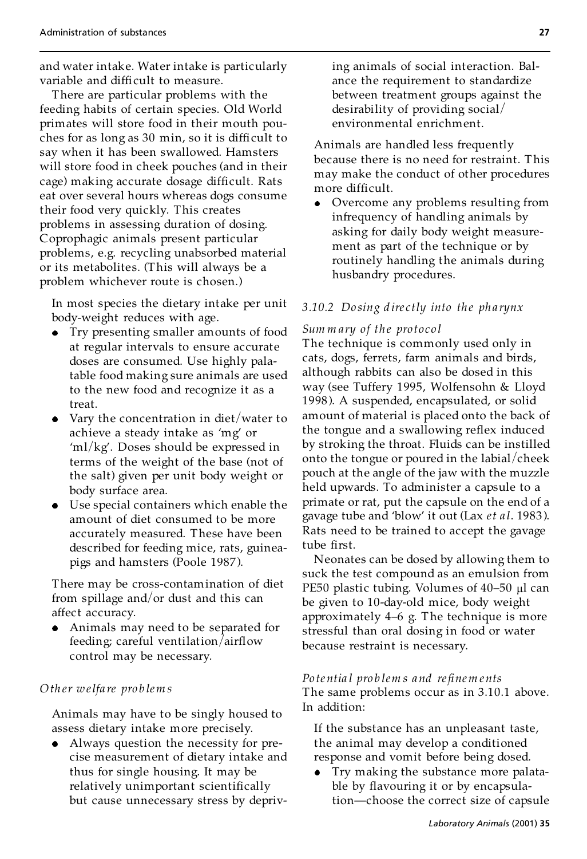and water intake. Water intake is particularly variable and difficult to measure.

There are particular problems with the feeding habits of certain species. Old World primates will store food in their mouth pouches for as long as  $30 \text{ min}$ , so it is difficult to say when it has been swallowed. Hamsters will store food in cheek pouches (and in their cage) making accurate dosage difficult. Rats eat over several hours whereas dogs consume their food very quickly. This creates problems in assessing duration of dosing. Coprophagic animals present particular problems, e.g. recycling unabsorbed material or its metabolites. (This will always be a problem whichever route is chosen.)

In most species the dietary intake per unit body-weight reduces with age.

- Try presenting smaller amounts of food at regular intervals to ensure accurate doses are consumed. Use highly palatable food making sure animals are used to the new food and recognize it as a treat.
- Vary the concentration in diet/water to achieve a steady intake as `mg' or 'ml/kg'. Doses should be expressed in terms of the weight of the base (not of the salt) given per unit body weight or body surface area.
- Use special containers which enable the amount of diet consumed to be more accurately measured. These have been described for feeding mice, rats, guineapigs and hamsters (Poole 1987 ).

There may be cross-contamination of diet from spillage and/or dust and this can affect accuracy.

Animals may need to be separated for feeding; careful ventilation/airflow control may be necessary.

#### *Oth er welfa re pro b lem s*

Animals may have to be singly housed to assess dietary intake more precisely.

Always question the necessity for precise measurement of dietary intake and thus for single housing. It may be relatively unimportant scientifically but cause unnecessary stress by depriving animals of social interaction. Balance the requirement to standardize between treatment groups against the desirability of providing social/ environmental enrichment.

Animals are handled less frequently because there is no need for restraint. This may make the conduct of other procedures more difficult.

Overcome any problems resulting from infrequency of handling animals by asking for daily body weight measure ment as part of the technique or by routinely handling the animals during husbandry procedures.

#### *3.10.2 Do sing d ire ctly into th e ph a rynx*

#### *Sum m ary of the pro toco l*

The technique is commonly used only in cats, dogs, ferrets, farm animals and birds, although rabbits can also be dosed in this way (see Tuffery 1995, Wolfensohn & Lloyd 1998 ). A suspended, encapsulated, or solid amount of material is placed onto the back of the tongue and a swallowing reflex induced by stroking the throat. Fluids can be instilled onto the tongue or poured in the labial/cheek pouch at the angle of the jaw with the muzzle held upwards. To administer a capsule to a primate or rat, put the capsule on the end of a gavage tube and 'blow' it out (Lax *et al.* 1983). Rats need to be trained to accept the gavage tube first.

Neonates can be dosed by allowing them to suck the test compound as an emulsion from PE50 plastic tubing. Volumes of  $40-50$  µl can be given to 10-day-old mice, body weight approximately  $4-6$  g. The technique is more stressful than oral dosing in food or water because restraint is necessary.

#### *Po te ntia l pro b lem s and re®nem ents* The same problems occur as in 3.10.1 above. In addition:

If the substance has an unpleasant taste, the animal may develop a conditioned response and vomit before being dosed.

Try making the substance more palatable by flavouring it or by encapsulation—choose the correct size of capsule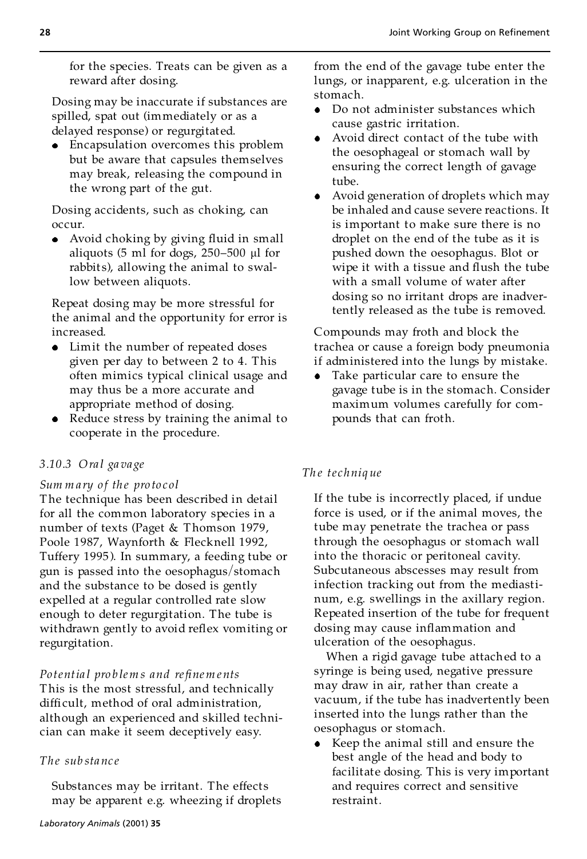for the species. Treats can be given as a reward after dosing.

Dosing may be inaccurate if substances are spilled, spat out (immediately or as a delayed response) or regurgitated.

Encapsulation overcomes this problem but be aware that capsules themselves may break, releasing the compound in the wrong part of the gut.

Dosing accidents, such as choking, can occur.

Avoid choking by giving fluid in small aliquots (5 ml for dogs, 250-500  $\mu$ l for rabbit s), allowing the animal to swallow between aliquots.

Repeat dosing may be more stressful for the animal and the opportunity for error is increased.

- Limit the number of repeated doses given per day to between 2 to 4. This often mimics typical clinical usage and may thus be a more accurate and appropriate method of dosing.
- Reduce stress by training the animal to cooperate in the procedure.

## *3.10.3 Ora l ga vage*

## *Sum m a ry o f th e pro to col*

The technique has been described in detail for all the common laboratory species in a number of texts (Paget & Thomson 1979, Poole 1987, Waynforth & Flecknell 1992, Tuffery 1995 ). In summary, a feeding tube or gun is passed into the oesophagus/stomach and the substance to be dosed is gently expelled at a regular controlled rate slow enough to deter regurgitation. The tube is withdrawn gently to avoid reflex vomiting or regurgitation.

## *Po tentia l pro b lem s and re®nem ents*

This is the most stressful, and technically difficult, method of oral administration, although an experienced and skilled technician can make it seem deceptively easy.

## *The sub sta nc e*

Substances may be irritant. The effects may be apparent e.g. wheezing if droplets

- Do not administer substances which cause gastric irritation.
- Avoid direct contact of the tube with the oesophageal or stomach wall by ensuring the correct length of gavage tube.
- Avoid generation of droplets which may be inhaled and cause severe reactions. It is important to make sure there is no droplet on the end of the tube as it is pushed down the oesophagus. Blot or wipe it with a tissue and flush the tube with a small volume of water after dosing so no irritant drops are inadvertently released as the tube is removed.

Compounds may froth and block the trachea or cause a foreign body pneumonia if administered into the lungs by mistake.

Take particular care to ensure the gavage tube is in the stomach. Consider maximum volumes carefully for com pounds that can froth.

# *Th e te chniq ue*

If the tube is incorrectly placed, if undue force is used, or if the animal moves, the tube may penetrate the trachea or pass through the oesophagus or stomach wall into the thoracic or peritoneal cavity. Subcutaneous abscesses may result from infection tracking out from the mediasti num, e.g. swellings in the axillary region. Repeated insertion of the tube for frequent dosing may cause inflammation and ulceration of the oesophagus.

When a rigid gavage tube attached to a syringe is being used, negative pressure may draw in air, rather than create a vacuum, if the tube has inadvertently been inserted into the lungs rather than the oesophagus or stomach.

• Keep the animal still and ensure the best angle of the head and body to facilitate dosing. This is very important and requires correct and sensitive restraint.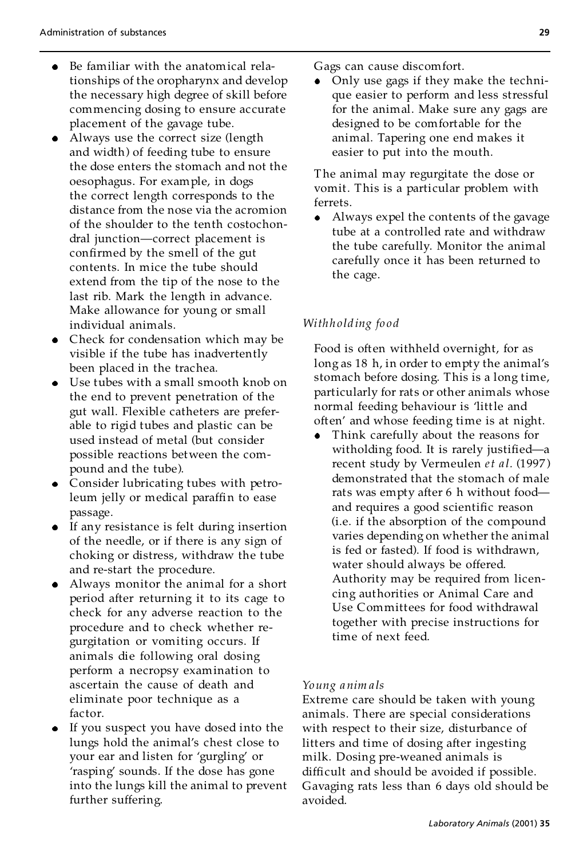- Be familiar with the anatomical rela- $\bullet$ tionships of the oropharynx and develop the necessary high degree of skill before commencing dosing to ensure accurate placement of the gavage tube.
- Always use the correct size (length and width) of feeding tube to ensure the dose enters the stomach and not the oesophagus. For example, in dogs the correct length corresponds to the distance from the nose via the acromion of the shoulder to the tenth costochondral junction—correct placement is confirmed by the smell of the gut contents. In mice the tube should extend from the tip of the nose to the last rib. Mark the length in advance. Make allowance for young or small individual animals.
- Check for condensation which may be visible if the tube has inadvertently been placed in the trachea.
- Use tubes with a small smooth knob on the end to prevent penetration of the gut wall. Flexible catheters are preferable to rigid tubes and plastic can be used instead of metal (but consider possible reactions between the com pound and the tube).
- Consider lubricating tubes with petroleum jelly or medical paraffin to ease passage.
- If any resistance is felt during insertion of the needle, or if there is any sign of choking or distress, withdraw the tube and re-start the procedure.
- Always monitor the animal for a short period after returning it to its cage to check for any adverse reaction to the procedure and to check whether regurgitation or vomiting occurs. If animals die following oral dosing perform a necropsy examination to ascertain the cause of death and eliminate poor technique as a factor.
- If you suspect you have dosed into the lungs hold the animal's chest close to your ear and listen for 'gurgling' or 'rasping' sounds. If the dose has gone into the lungs kill the animal to prevent further suffering.

Gags can cause discomfort.

• Only use gags if they make the technique easier to perform and less stressful for the animal. Make sure any gags are designed to be comfortable for the animal. Tapering one end makes it easier to put into the mouth.

The animal may regurgitate the dose or vomit. This is a particular problem with ferrets.

Always expel the contents of the gavage tube at a controlled rate and withdraw the tube carefully. Monitor the animal carefully once it has been returned to the cage.

# *Withh olding fo o d*

Food is often withheld overnight, for as long as 18 h, in order to empty the animal's stomach before dosing. This is a long time, particularly for rats or other animals whose normal feeding behaviour is 'little and often' and whose feeding time is at night.

Think carefully about the reasons for witholding food. It is rarely justified—a recent study by Vermeulen *et a l.* (1997 ) demonstrated that the stomach of male rats was empty after 6 h without food and requires a good scientific reason (i.e. if the absorption of the compound varies depending on whether the animal is fed or fasted). If food is withdrawn, water should always be offered. Authority may be required from licencing authorities or Animal Care and Use Committees for food withdrawal together with precise instructions for time of next feed.

#### *Young anim a ls*

Extreme care should be taken with young animals. There are special considerations with respect to their size, disturbance of litters and time of dosing after ingesting milk. Dosing pre-weaned animals is difficult and should be avoided if possible. Gavaging rats less than 6 days old should be avoided.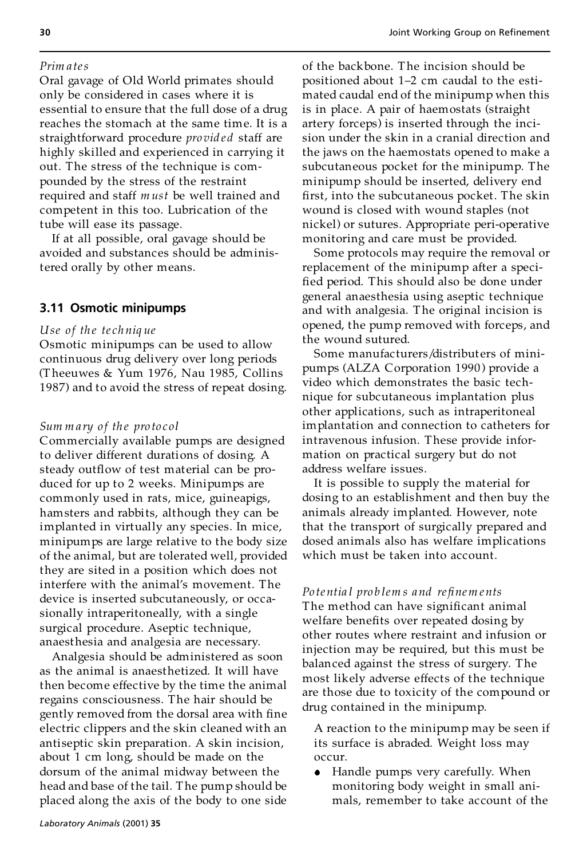#### *Prim a tes*

Oral gavage of Old World primates should only be considered in cases where it is essential to ensure that the full dose of a drug reaches the stomach at the same time. It is a straightforward procedure *provided* staff are highly skilled and experienced in carrying it out. The stress of the technique is com pounded by the stress of the restraint required and staff *m ust* be well trained and competent in this too. Lubrication of the tube will ease its passage.

If at all possible, oral gavage should be avoided and substances should be administered orally by other means.

### **3.11 Osmotic minipumps**

#### *Use of th e te ch niq ue*

Osmotic minipumps can be used to allow continuous drug delivery over long periods (Theeuwes & Yum 1976, Nau 1985, Collins 1987) and to avoid the stress of repeat dosing.

#### *Sum m a ry o f th e pro to col*

Commercially available pumps are designed to deliver different durations of dosing. A steady outflow of test material can be produced for up to 2 weeks. Minipumps are commonly used in rats, mice, guineapigs, hamsters and rabbits, although they can be implanted in virtually any species. In mice, minipumps are large relative to the body size of the animal, but are tolerated well, provided they are sited in a position which does not interfere with the animal's movement. The device is inserted subcutaneously, or occasionally intraperitoneally, with a single surgical procedure. Aseptic technique, anaesthesia and analgesia are necessary.

Analgesia should be administered as soon as the animal is anaesthetized. It will have then become effective by the time the animal regains consciousness. The hair should be gently removed from the dorsal area with fine electric clippers and the skin cleaned with an antiseptic skin preparation. A skin incision, about 1 cm long, should be made on the dorsum of the animal midway between the head and base of the tail. The pump should be placed along the axis of the body to one side of the backbone. The incision should be positioned about 1–2 cm caudal to the estimated caudal end of the minipump when this is in place. A pair of haemostats (straight artery forceps) is inserted through the incision under the skin in a cranial direction and the jaws on the haemostats opened to make a subcutaneous pocket for the minipump. The minipump should be inserted, delivery end first, into the subcutaneous pocket. The skin wound is closed with wound staples (not nickel) or sutures. Appropriate peri-operative monitoring and care must be provided.

Some protocols may require the removal or replacement of the minipump after a speci fied period. This should also be done under general anaesthesia using aseptic technique and with analgesia. The original incision is opened, the pump removed with forceps, and the wound sutured.

Some manufacturers/distribut ers of minipumps (ALZA Corporation 1990) provide a video which demonstrates the basic technique for subcutaneous implantation plus other applications, such as intraperitoneal implantation and connection to catheters for intravenous infusion. These provide infor mation on practical surgery but do not address welfare issues.

It is possible to supply the material for dosing to an establishment and then buy the animals already implanted. However, note that the transport of surgically prepared and dosed animals also has welfare implications which must be taken into account.

#### *Po te ntia l pro b lem s and re®nem ents*

The method can have significant animal welfare benefits over repeated dosing by other routes where restraint and infusion or injection may be required, but this must be balanced against the stress of surgery. The most likely adverse effects of the technique are those due to toxicity of the compound or drug contained in the minipump.

A reaction to the minipump may be seen if its surface is abraded. Weight loss may occur.

Handle pumps very carefully. When monitoring body weight in small ani mals, remember to take account of the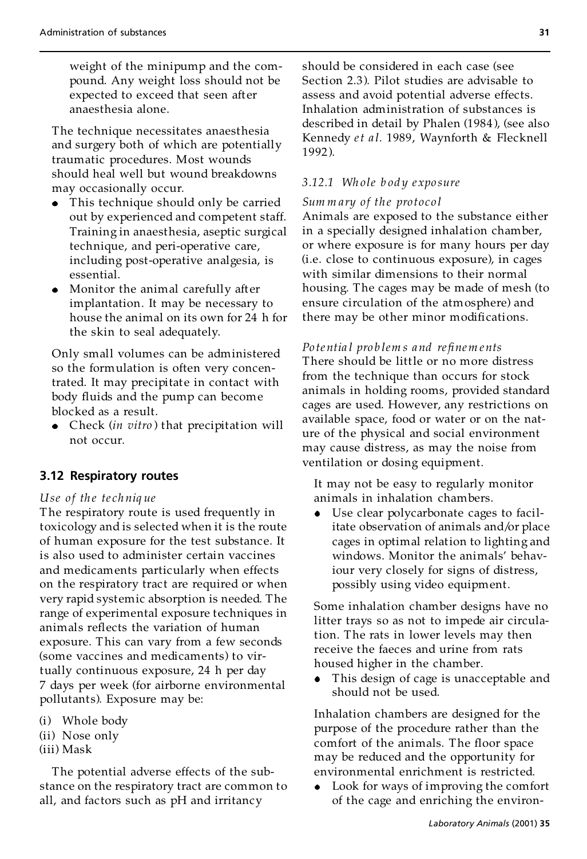weight of the minipump and the com pound. Any weight loss should not be expected to exceed that seen after anaesthesia alone.

The technique necessitates anaesthesia and surgery both of which are potentially traumatic procedures. Most wounds should heal well but wound breakdowns may occasionally occur.

- This technique should only be carried out by experienced and competent staff. Training in anaesthesia, aseptic surgical technique, and peri-operative care, including post-operative analgesia, is essential.
- Monitor the animal carefully after implantation. It may be necessary to house the animal on its own for 24 h for the skin to seal adequately.

Only small volumes can be administered so the formulation is often very concentrated. It may precipitate in contact with body fluids and the pump can become blocked as a result.

Check (*in vitro* ) that precipitation will not occur.

## **3.12 Respiratory routes**

#### *Use of th e te ch niq ue*

The respiratory route is used frequently in toxicology and is selected when it is the route of human exposure for the test substance. It is also used to administer certain vaccines and medicaments particularly when effects on the respiratory tract are required or when very rapid systemic absorption is needed. The range of experimental exposure techniques in animals reflects the variation of human exposure. This can vary from a few seconds (some vaccines and medicaments) to virtually continuous exposure, 24 h per day 7 days per week (for airborne environmental pollutants). Exposure may be:

- (i) Whole body
- (ii) Nose only
- (iii) Mask

The potential adverse effects of the substance on the respiratory tract are common to all, and factors such as pH and irritancy

should be considered in each case (see Section 2.3). Pilot studies are advisable to assess and avoid potential adverse effects. Inhalation administration of substances is described in detail by Phalen (1984 ), (see also Kennedy *et a l.* 1989, Waynforth & Flecknell 1992 ).

## *3.12.1 Wh ole b od y e xpo sure*

#### *Sum m ary of the pro toco l*

Animals are exposed to the substance either in a specially designed inhalation chamber, or where exposure is for many hours per day (i.e. close to continuous exposure), in cages with similar dimensions to their normal housing. The cages may be made of mesh (to ensure circulation of the atmosphere) and there may be other minor modifications.

#### *Po te ntia l pro b lem s and re®nem ents*

There should be little or no more distress from the technique than occurs for stock animals in holding rooms, provided standard cages are used. However, any restrictions on available space, food or water or on the nature of the physical and social environment may cause distress, as may the noise from ventilation or dosing equipment.

It may not be easy to regularly monitor animals in inhalation chambers.

Use clear polycarbonate cages to facilitate observation of animals and/or place cages in optimal relation to lighting and windows. Monitor the animals' behaviour very closely for signs of distress, possibly using video equipment.

Some inhalation chamber designs have no litter trays so as not to impede air circulation. The rats in lower levels may then receive the faeces and urine from rats housed higher in the chamber.

This design of cage is unacceptable and should not be used.

Inhalation chambers are designed for the purpose of the procedure rather than the comfort of the animals. The floor space may be reduced and the opportunity for environmental enrichment is restricted.

Look for ways of improving the comfort of the cage and enriching the environ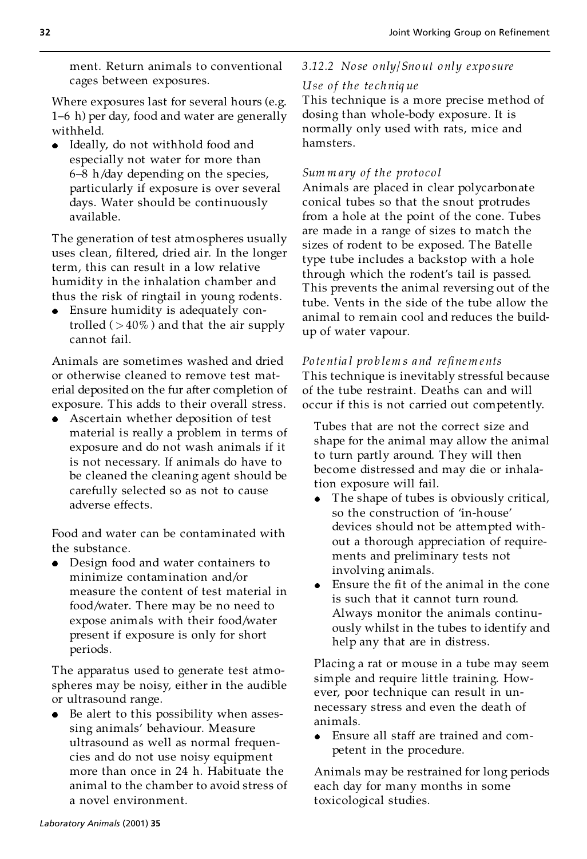ment. Return animals to conventional cages between exposures.

Where exposures last for several hours (e.g. 1-6 h) per day, food and water are generally withheld.

Ideally, do not withhold food and especially not water for more than  $6-8$  h/day depending on the species, particularly if exposure is over several days. Water should be continuously available.

The generation of test atmospheres usually uses clean, filtered, dried air. In the longer term, this can result in a low relative humidity in the inhalation chamber and thus the risk of ringtail in young rodents.

Ensure humidity is adequately controlled  $( > 40\%)$  and that the air supply cannot fail.

Animals are sometimes washed and dried or otherwise cleaned to remove test material deposited on the fur after completion of exposure. This adds to their overall stress.

Ascertain whether deposition of test material is really a problem in terms of exposure and do not wash animals if it is not necessary. If animals do have to be cleaned the cleaning agent should be carefully selected so as not to cause adverse effects.

Food and water can be contaminated with the substance.

Design food and water containers to minimize contamination and/or measure the content of test material in food/water. There may be no need to expose animals with their food/water present if exposure is only for short periods.

The apparatus used to generate test atmospheres may be noisy, either in the audible or ultrasound range.

Be alert to this possibility when assessing animals' behaviour. Measure ultrasound as well as normal frequencies and do not use noisy equipment more than once in 24 h. Habituate the animal to the chamber to avoid stress of a novel environment.

# *3.12.2 No se only/Sno ut only expo sure*

## *Use o f the te ch niq ue*

This technique is a more precise method of dosing than whole-body exposure. It is normally only used with rats, mice and hamsters.

#### *Sum m ary of the pro toco l*

Animals are placed in clear polycarbonate conical tubes so that the snout protrudes from a hole at the point of the cone. Tubes are made in a range of sizes to match the sizes of rodent to be exposed. The Batelle type tube includes a backstop with a hole through which the rodent's tail is passed. This prevents the animal reversing out of the tube. Vents in the side of the tube allow the animal to remain cool and reduces the buildup of water vapour.

## *Po te ntia l pro b lem s and re®nem ents*

This technique is inevitably stressful because of the tube restraint. Deaths can and will occur if this is not carried out competently.

Tubes that are not the correct size and shape for the animal may allow the animal to turn partly around. They will then become distressed and may die or inhalation exposure will fail.

- The shape of tubes is obviously critical, so the construction of 'in-house' devices should not be attempted without a thorough appreciation of require ments and preliminary tests not involving animals.
- Ensure the fit of the animal in the cone is such that it cannot turn round. Always monitor the animals continu ously whilst in the tubes to identify and help any that are in distress.

Placing a rat or mouse in a tube may seem simple and require little training. However, poor technique can result in un necessary stress and even the death of animals.

Ensure all staff are trained and com petent in the procedure.

Animals may be restrained for long periods each day for many months in some toxicological studies.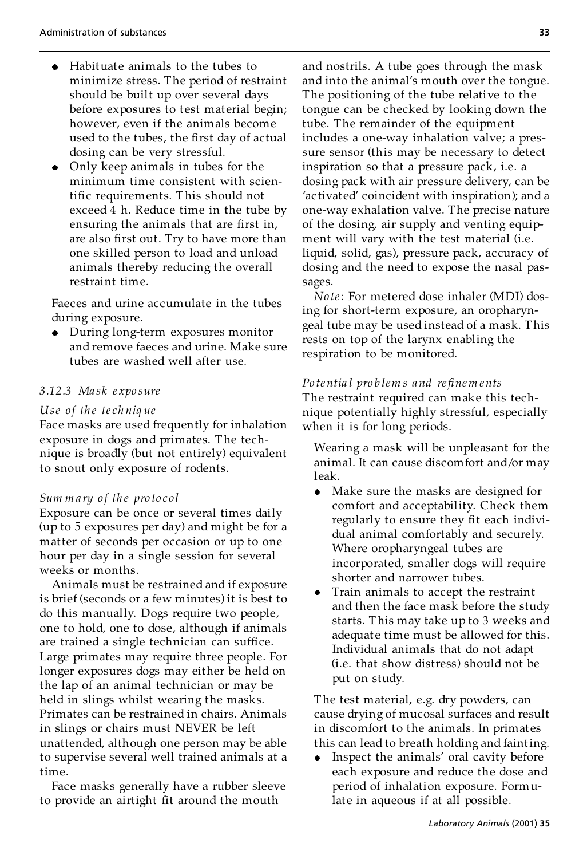- Habituate animals to the tubes to  $\bullet$ minimize stress. The period of restraint should be built up over several days before exposures to test material begin; however, even if the animals become used to the tubes, the first day of actual dosing can be very stressful.
- Only keep animals in tubes for the minimum time consistent with scientific requirements. This should not exceed 4 h. Reduce time in the tube by ensuring the animals that are first in, are also first out. Try to have more than one skilled person to load and unload animals thereby reducing the overall restraint time.

Faeces and urine accumulate in the tubes during exposure.

During long-term exposures monitor and remove faeces and urine. Make sure tubes are washed well after use.

#### *3.12.3 Ma sk e xpo sure*

#### *Use of th e te ch niq ue*

Face masks are used frequently for inhalation exposure in dogs and primates. The tech nique is broadly (but not entirely) equivalent to snout only exposure of rodents.

#### *Sum m a ry o f th e pro to col*

Exposure can be once or several times daily (up to 5 exposures per day) and might be for a matter of seconds per occasion or up to one hour per day in a single session for several weeks or months.

Animals must be restrained and if exposure is brief (seconds or a few minutes) it is best to do this manually. Dogs require two people, one to hold, one to dose, although if animals are trained a single technician can suffice. Large primates may require three people. For longer exposures dogs may either be held on the lap of an animal technician or may be held in slings whilst wearing the masks. Primates can be restrained in chairs. Animals in slings or chairs must NEVER be left unattended, although one person may be able to supervise several well trained animals at a time.

Face masks generally have a rubber sleeve to provide an airtight fit around the mouth

and nostrils. A tube goes through the mask and into the animal's mouth over the tongue. The positioning of the tube relative to the tongue can be checked by looking down the tube. The remainder of the equipment includes a one-way inhalation valve; a pressure sensor (this may be necessary to detect inspiration so that a pressure pack, i.e. a dosing pack with air pressure delivery, can be 'activated' coincident with inspiration); and a one-way exhalation valve. The precise nature of the dosing, air supply and venting equip ment will vary with the test material (i.e. liquid, solid, gas), pressure pack, accuracy of dosing and the need to expose the nasal passages.

*No te*: For metered dose inhaler (MDI) dosing for short-term exposure, an oropharyngeal tube may be used instead of a mask. This rests on top of the larynx enabling the respiration to be monitored.

#### *Po te ntia l pro b lem s and re®nem ents*

The restraint required can make this technique potentially highly stressful, especially when it is for long periods.

Wearing a mask will be unpleasant for the animal. It can cause discomfort and/or may leak.

- Make sure the masks are designed for  $\bullet$ comfort and acceptability. Check them regularly to ensure they fit each individual animal comfortably and securely. Where oropharyngeal tubes are incorporated, smaller dogs will require shorter and narrower tubes.
- Train animals to accept the restraint and then the face mask before the study starts. This may take up to 3 weeks and adequate time must be allowed for this. Individual animals that do not adapt (i.e. that show distress) should not be put on study.

The test material, e.g. dry powders, can cause drying of mucosal surfaces and result in discomfort to the animals. In primates this can lead to breath holding and fainting.

Inspect the animals' oral cavity before each exposure and reduce the dose and period of inhalation exposure. Formulate in aqueous if at all possible.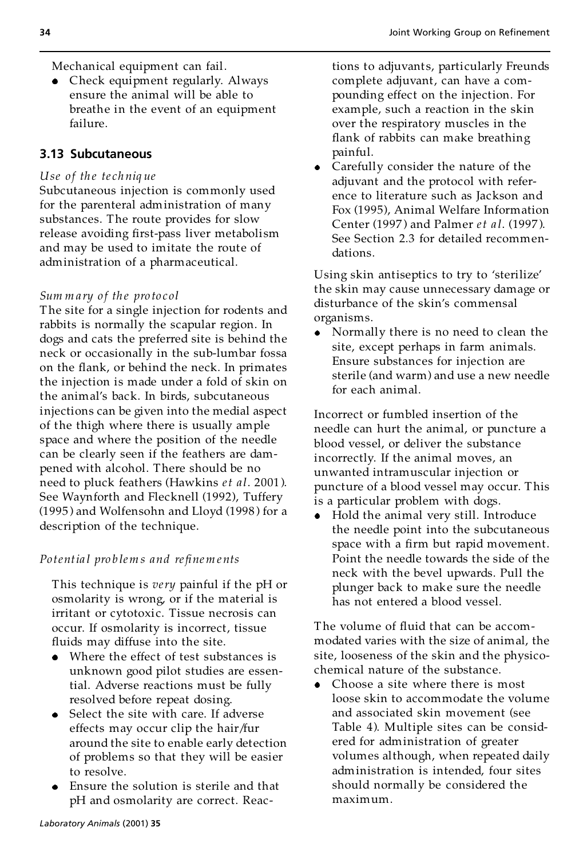Mechanical equipment can fail.

Check equipment regularly. Always ensure the animal will be able to breathe in the event of an equipment failure.

# **3.13 Subcutaneous**

## *Use of th e te ch niq ue*

Subcutaneous injection is commonly used for the parenteral administration of many substances. The route provides for slow release avoiding first-pass liver metabolism and may be used to imitate the route of administration of a pharmaceutical.

#### *Sum m a ry o f th e pro to col*

The site for a single injection for rodents and rabbits is normally the scapular region. In dogs and cats the preferred site is behind the neck or occasionally in the sub-lumbar fossa on the flank, or behind the neck. In primates the injection is made under a fold of skin on the animal's back. In birds, subcutaneous injections can be given into the medial aspect of the thigh where there is usually ample space and where the position of the needle can be clearly seen if the feathers are dam pened with alcohol. There should be no need to pluck feathers (Hawkins *et al*. 2001 ). See Waynforth and Flecknell (1992), Tuffery (1995 ) and Wolfensohn and Lloyd (1998 ) for a description of the technique.

## *Po tentia l pro b lem s and re®nem ents*

This technique is *very* painful if the pH or osmolarity is wrong, or if the material is irritant or cytotoxic. Tissue necrosis can occur. If osmolarity is incorrect, tissue fluids may diffuse into the site.

- Where the effect of test substances is unknown good pilot studies are essential. Adverse reactions must be fully resolved before repeat dosing.
- Select the site with care. If adverse effects may occur clip the hair/fur around the site to enable early detection of problems so that they will be easier to resolve.
- Ensure the solution is sterile and that pH and osmolarity are correct. Reac-

tions to adjuvants, particularly Freunds complete adjuvant, can have a com pounding effect on the injection. For example, such a reaction in the skin over the respiratory muscles in the flank of rabbits can make breathing painful.

Carefully consider the nature of the adjuvant and the protocol with reference to literature such as Jackson and Fox (1995), Animal Welfare Information Center (1997 ) and Palmer *et a l*. (1997 ). See Section 2.3 for detailed recommendations.

Using skin antiseptics to try to 'sterilize' the skin may cause unnecessary damage or disturbance of the skin's commensal organisms.

Normally there is no need to clean the site, except perhaps in farm animals. Ensure substances for injection are sterile (and warm) and use a new needle for each animal.

Incorrect or fumbled insertion of the needle can hurt the animal, or puncture a blood vessel, or deliver the substance incorrectly. If the animal moves, an unwanted intramuscular injection or puncture of a blood vessel may occur. This is a particular problem with dogs.

Hold the animal very still. Introduce  $\bullet$ the needle point into the subcutaneous space with a firm but rapid movement. Point the needle towards the side of the neck with the bevel upwards. Pull the plunger back to make sure the needle has not entered a blood vessel.

The volume of fluid that can be accommodated varies with the size of animal, the site, looseness of the skin and the physicochemical nature of the substance.

Choose a site where there is most loose skin to accommodate the volume and associated skin movement (see Table 4). Multiple sites can be considered for administration of greater volumes although, when repeated daily administration is intended, four sites should normally be considered the maximum.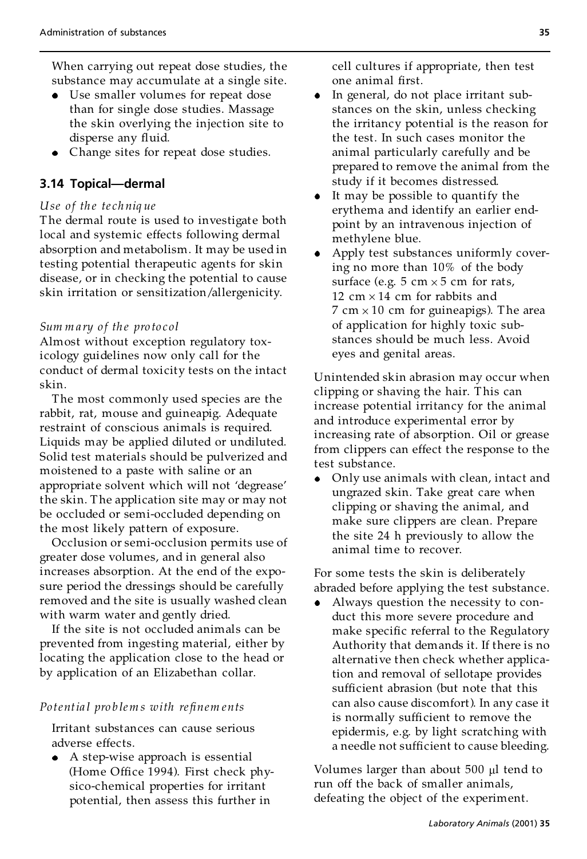When carrying out repeat dose studies, the substance may accumulate at a single site.

- Use smaller volumes for repeat dose than for single dose studies. Massage the skin overlying the injection site to disperse any fluid.
- Change sites for repeat dose studies.

# **3.14 Topical—dermal**

## *Use of th e te ch niq ue*

The dermal route is used to investigate both local and systemic effects following dermal absorption and metabolism. It may be used in testing potential therapeutic agents for skin disease, or in checking the potential to cause skin irritation or sensitization/allergenicity.

### *Sum m a ry o f th e pro to col*

Almost without exception regulatory toxicology guidelines now only call for the conduct of dermal toxicity tests on the intact skin.

The most commonly used species are the rabbit, rat, mouse and guineapig. Adequate restraint of conscious animals is required. Liquids may be applied diluted or undiluted. Solid test materials should be pulverized and moistened to a paste with saline or an appropriate solvent which will not 'degrease' the skin. The application site may or may not be occluded or semi-occluded depending on the most likely pattern of exposure.

Occlusion or semi-occlusion permits use of greater dose volumes, and in general also increases absorption. At the end of the exposure period the dressings should be carefully removed and the site is usually washed clean with warm water and gently dried.

If the site is not occluded animals can be prevented from ingesting material, either by locating the application close to the head or by application of an Elizabethan collar.

## *Po tentia l pro b lem s with re®nem ents*

Irritant substances can cause serious adverse effects.

A step-wise approach is essential (Home Office 1994). First check physico-chemical properties for irritant potential, then assess this further in

cell cultures if appropriate, then test one animal first.

- In general, do not place irritant substances on the skin, unless checking the irritancy potential is the reason for the test. In such cases monitor the animal particularly carefully and be prepared to remove the animal from the study if it becomes distressed.
- It may be possible to quantify the erythema and identify an earlier endpoint by an intravenous injection of methylene blue.
- Apply test substances uniformly covering no more than 10% of the body surface (e.g.  $5 \text{ cm} \times 5 \text{ cm}$  for rats, 12 cm  $\times$  14 cm for rabbits and 7 cm  $\times$  10 cm for guineapigs). The area of application for highly toxic substances should be much less. Avoid eyes and genital areas.

Unintended skin abrasion may occur when clipping or shaving the hair. This can increase potential irritancy for the animal and introduce experimental error by increasing rate of absorption. Oil or grease from clippers can effect the response to the test substance.

Only use animals with clean, intact and ungrazed skin. Take great care when clipping or shaving the animal, and make sure clippers are clean. Prepare the site 24 h previously to allow the animal time to recover.

For some tests the skin is deliberately abraded before applying the test substance.

Always question the necessity to conduct this more severe procedure and make specific referral to the Regulatory Authority that demands it. If there is no alternative then check whether application and removal of sellotape provides sufficient abrasion (but note that this can also cause discomfort). In any case it is normally sufficient to remove the epidermis, e.g. by light scratching with a needle not sufficient to cause bleeding.

Volumes larger than about  $500 \mu l$  tend to run off the back of smaller animals, defeating the object of the experiment.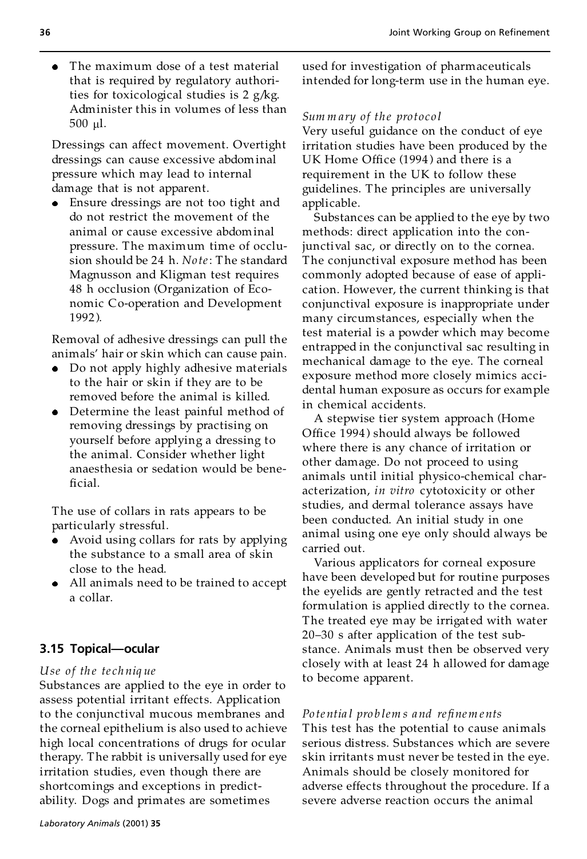The maximum dose of a test material  $\bullet$ that is required by regulatory authorities for toxicological studies is 2 g/kg. Administer this in volumes of less than 500 ml.

Dressings can affect movement. Overtight dressings can cause excessive abdominal pressure which may lead to internal damage that is not apparent.

Ensure dressings are not too tight and do not restrict the movement of the animal or cause excessive abdominal pressure. The maximum time of occlu sion should be 24 h. *No te*: The standard Magnusson and Kligman test requires 48 h occlusion (Organization of Economic Co-operation and Development 1992 ).

Removal of adhesive dressings can pull the animals' hair or skin which can cause pain.

- Do not apply highly adhesive materials to the hair or skin if they are to be removed before the animal is killed.
- Determine the least painful method of removing dressings by practising on yourself before applying a dressing to the animal. Consider whether light anaesthesia or sedation would be bene ficial.

The use of collars in rats appears to be particularly stressful.

- Avoid using collars for rats by applying the substance to a small area of skin close to the head.
- All animals need to be trained to accept a collar.

# **3.15 Topical—ocular**

## *Use of th e te ch niq ue*

Substances are applied to the eye in order to assess potential irritant effects. Application to the conjunctival mucous membranes and the corneal epithelium is also used to achieve high local concentrations of drugs for ocular therapy. The rabbit is universally used for eye irritation studies, even though there are shortcomings and exceptions in predictability. Dogs and primates are sometimes

used for investigation of pharmaceuticals intended for long-term use in the human eye.

#### *Sum m ary of the pro toco l*

Very useful guidance on the conduct of eye irritation studies have been produced by the UK Home Office (1994) and there is a requirement in the UK to follow these guidelines. The principles are universally applicable.

Substances can be applied to the eye by two methods: direct application into the conjunctival sac, or directly on to the cornea. The conjunctival exposure method has been commonly adopted because of ease of application. However, the current thinking is that conjunctival exposure is inappropriate under many circumstances, especially when the test material is a powder which may become entrapped in the conjunctival sac resulting in mechanical damage to the eye. The corneal exposure method more closely mimics accidental human exposure as occurs for example in chemical accidents.

A stepwise tier system approach (Home Office 1994) should always be followed where there is any chance of irritation or other damage. Do not proceed to using animals until initial physico-chemical characterization, *in vitro* cytotoxicity or other studies, and dermal tolerance assays have been conducted. An initial study in one animal using one eye only should always be carried out.

Various applicators for corneal exposure have been developed but for routine purposes the eyelids are gently retracted and the test formulation is applied directly to the cornea. The treated eye may be irrigated with water 20-30 s after application of the test substance. Animals must then be observed very closely with at least 24 h allowed for damage to become apparent.

#### *Po te ntia l pro b lem s and re®nem ents*

This test has the potential to cause animals serious distress. Substances which are severe skin irritants must never be tested in the eye. Animals should be closely monitored for adverse effects throughout the procedure. If a severe adverse reaction occurs the animal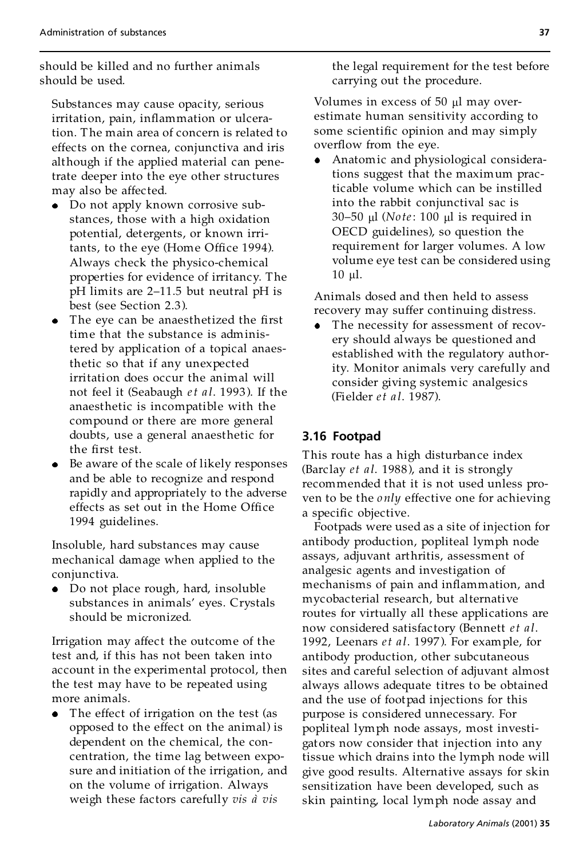should be killed and no further animals should be used.

Substances may cause opacity, serious irritation, pain, inflammation or ulceration. The main area of concern is related to effects on the cornea, conjunctiva and iris although if the applied material can penetrate deeper into the eye other structures may also be affected.

- Do not apply known corrosive substances, those with a high oxidation potential, detergents, or known irritants, to the eye (Home Office 1994). Always check the physico-chemical properties for evidence of irritancy. The  $pH$  limits are 2-11.5 but neutral  $pH$  is best (see Section 2.3).
- The eye can be anaesthetized the first time that the substance is administered by application of a topical anaesthetic so that if any unexpected irritation does occur the animal will not feel it (Seabaugh *et a l*. 1993 ). If the anaesthetic is incompatible with the compound or there are more general doubts, use a general anaesthetic for the first test.
- Be aware of the scale of likely responses and be able to recognize and respond rapidly and appropriately to the adverse effects as set out in the Home Office 1994 guidelines.

Insoluble, hard substances may cause mechanical damage when applied to the conjunctiva.

Do not place rough, hard, insoluble substances in animals' eyes. Crystals should be micronized.

Irrigation may affect the outcome of the test and, if this has not been taken into account in the experimental protocol, then the test may have to be repeated using more animals.

The effect of irrigation on the test (as opposed to the effect on the animal) is dependent on the chemical, the concentration, the time lag between exposure and initiation of the irrigation, and on the volume of irrigation. Always weigh these factors carefully *vis*  $\hat{a}$  *vis* 

the legal requirement for the test before carrying out the procedure.

Volumes in excess of 50 µl may overestimate human sensitivity according to some scientific opinion and may simply overflow from the eye.

Anatomic and physiological considerations suggest that the maximum practicable volume which can be instilled into the rabbit conjunctival sac is 30–50 μl (*Note*: 100 μl is required in OECD guidelines), so question the requirement for larger volumes. A low volume eye test can be considered using  $10 \mu l$ .

Animals dosed and then held to assess recovery may suffer continuing distress.

The necessity for assessment of recovery should always be questioned and established with the regulatory authority. Monitor animals very carefully and consider giving systemic analgesics (Fielder *et a l*. 1987).

# **3.16 Footpad**

This route has a high disturbance index (Barclay *et al.* 1988), and it is strongly recommended that it is not used unless proven to be the *only* effective one for achieving a specific objective.

Footpads were used as a site of injection for antibody production, popliteal lymph node assays, adjuvant arthritis, assessment of analgesic agents and investigation of mechanisms of pain and inflammation, and mycobacterial research, but alternative routes for virtually all these applications are now considered satisfac tory (Bennett *et a l*. 1992, Leenars *et a l*. 1997 ). For example, for antibody production, other subcutaneous sites and careful selection of adjuvant almost always allows adequate titres to be obtained and the use of footpad injections for this purpose is considered unnecessary. For popliteal lymph node assays, most investigators now consider that injection into any tissue which drains into the lymph node will give good results. Alternative assays for skin sensitization have been developed, such as skin painting, local lymph node assay and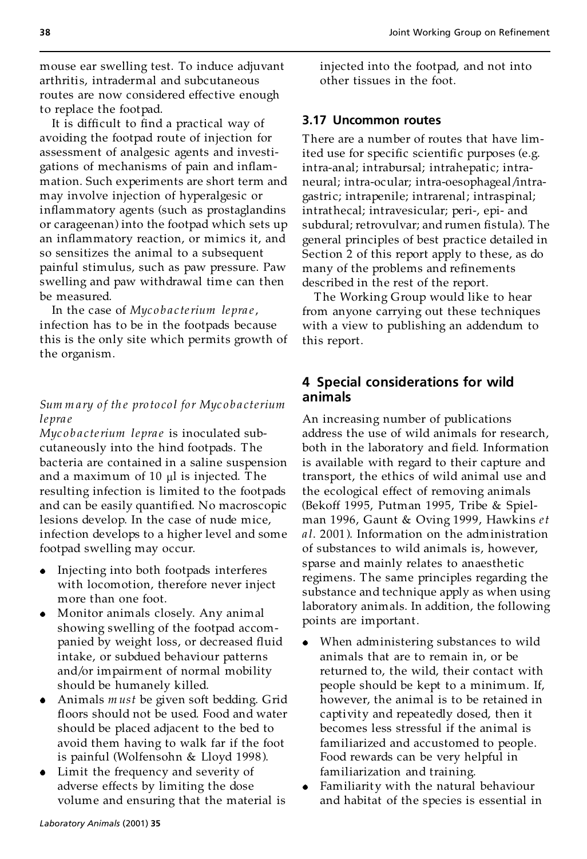mouse ear swelling test. To induce adjuvant arthritis, intradermal and subcutaneous routes are now considered effective enough to replace the footpad.

It is difficult to find a practical way of avoiding the footpad route of injection for assessment of analgesic agents and investigations of mechanisms of pain and inflammation. Such experiments are short term and may involve injection of hyperalgesic or inflammatory agents (such as prostaglandins or carageenan) into the footpad which sets up an inflammatory reaction, or mimics it, and so sensitizes the animal to a subsequent painful stimulus, such as paw pressure. Paw swelling and paw withdrawal time can then be measured.

In the case of *Myc o b a c terium lepra e*, infection has to be in the footpads because this is the only site which permits growth of the organism.

## *Sum m a ry o f th e pro to co l fo r Myc o b a cterium lepra e*

*Myc o b a c terium lepra e* is inoculated subcutaneously into the hind footpads. The bacteria are contained in a saline suspension and a maximum of  $10 \mu l$  is injected. The resulting infection is limited to the footpads and can be easily quantified. No macroscopic lesions develop. In the case of nude mice, infection develops to a higher level and some footpad swelling may occur.

- Injecting into both footpads interferes with locomotion, therefore never inject more than one foot.
- Monitor animals closely. Any animal showing swelling of the footpad accom panied by weight loss, or decreased fluid intake, or subdued behaviour patterns and/or impairment of normal mobility should be humanely killed.
- Animals *m ust* be given soft bedding. Grid floors should not be used. Food and water should be placed adjacent to the bed to avoid them having to walk far if the foot is painful (Wolfensohn & Lloyd 1998 ).
- Limit the frequency and severity of adverse effects by limiting the dose volume and ensuring that the material is

injected into the footpad, and not into other tissues in the foot.

#### **3.17 Uncommon routes**

There are a number of routes that have limited use for specific scientific purposes (e.g. intra-anal; intrabursal; intrahepatic; intraneural; intra-ocular; intra-oesophageal/intragastric; intrapenile; intrarenal; intraspinal; intrathecal; intravesicular; peri-, epi- and subdural; retrovulvar; and rumen fistula). The general principles of best practice detailed in Section 2 of this report apply to these, as do many of the problems and refinements described in the rest of the report.

The Working Group would like to hear from anyone carrying out these techniques with a view to publishing an addendum to this report.

## **4 Special considerations for wild animals**

An increasing number of publications address the use of wild animals for research, both in the laboratory and field. Information is available with regard to their capture and transport, the ethics of wild animal use and the ecological effect of removing animals (Bekoff 1995, Putman 1995, Tribe & Spiel man 1996, Gaunt & Oving 1999, Hawkins *et a l*. 2001 ). Information on the administration of substances to wild animals is, however, sparse and mainly relates to anaesthetic regimens. The same principles regarding the substance and technique apply as when using laboratory animals. In addition, the following points are important.

- When administering substances to wild animals that are to remain in, or be returned to, the wild, their contact with people should be kept to a minimum. If, however, the animal is to be retained in captivity and repeatedly dosed, then it becomes less stressful if the animal is familiarized and accustomed to people. Food rewards can be very helpful in familiarization and training.
- Familiarity with the natural behaviour and habitat of the species is essential in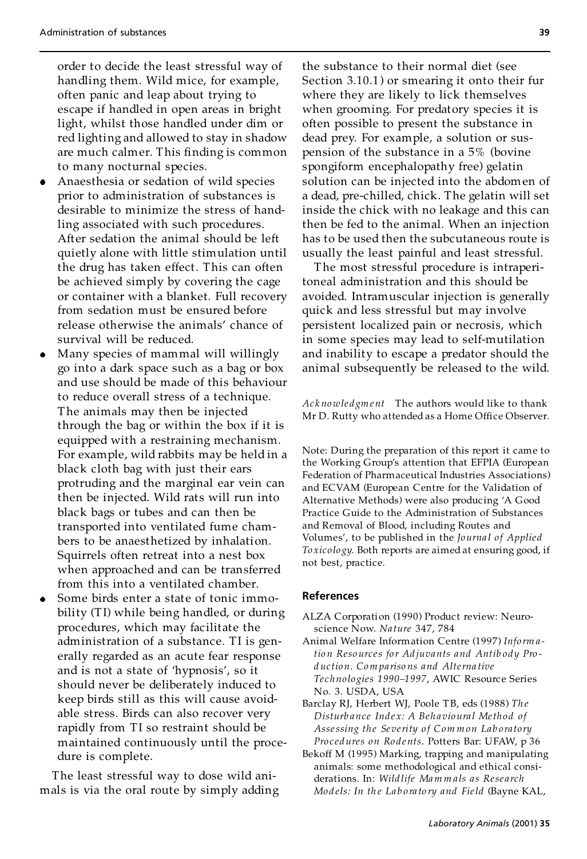order to decide the least stressful way of handling them. Wild mice, for example, often panic and leap about trying to escape if handled in open areas in bright light, whilst those handled under dim or red lighting and allowed to stay in shadow are much calmer. This finding is common to many nocturnal species.

- Anaesthesia or sedation of wild species prior to administration of substances is desirable to minimize the stress of handling associated with such procedures. After sedation the animal should be left quietly alone with little stimulation until the drug has taken effect. This can often be achieved simply by covering the cage or container with a blanket. Full recovery from sedation must be ensured before release otherwise the animals' chance of survival will be reduced.
- Many species of mammal will willingly go into a dark space such as a bag or box and use should be made of this behaviour to reduce overall stress of a technique. The animals may then be injected through the bag or within the box if it is equipped with a restraining mechanism. For example, wild rabbits may be held in a black cloth bag with just their ears protruding and the marginal ear vein can then be injected. Wild rats will run into black bags or tubes and can then be transported into ventilated fume cham bers to be anaesthetized by inhalation. Squirrels often retreat into a nest box when approached and can be transferred from this into a ventilated chamber.
- Some birds enter a state of tonic immobility (TI) while being handled, or during procedures, which may facilitate the administration of a substance. TI is generally regarded as an acute fear response and is not a state of 'hypnosis', so it should never be deliberately induced to keep birds still as this will cause avoid able stress. Birds can also recover very rapidly from TI so restraint should be maintained continuously until the procedure is complete.

The least stressful way to dose wild ani mals is via the oral route by simply adding the substance to their normal diet (see Section 3.10.1 ) or smearing it onto their fur where they are likely to lick themselves when grooming. For predatory species it is often possible to present the substance in dead prey. For example, a solution or suspension of the substance in a 5% (bovine spongiform encephalopathy free) gelatin solution can be injected into the abdomen of a dead, pre-chilled, chick. The gelatin will set inside the chick with no leakage and this can then be fed to the animal. When an injection has to be used then the subcutaneous route is usually the least painful and least stressful.

The most stressful procedure is intraperitoneal administration and this should be avoided. Intramuscular injection is generally quick and less stressful but may involve persistent localized pain or necrosis, which in some species may lead to self-mutilation and inability to escape a predator should the animal subsequently be released to the wild.

*Ac k nowle dgm ent* The authors would like to thank Mr D. Rutty who attended as a Home Office Observer.

Note: During the preparation of this report it came to the Working Group's attention that EFPIA (European Federation of Pharmaceutical Industries Associations) and ECVAM (European Centre for the Validation of Alternative Methods) were also producing 'A Good Practice Guide to the Administration of Substances and Removal of Blood, including Routes and Volumes', to be published in the *Journa l of Applied To xicology*. Both reports are aimed at ensuring good, if not best, practice.

#### **References**

- ALZA Corporation (1990) Product review: Neuroscience Now. *Na ture* 347, 784
- Animal Welfare Information Centre (1997) *Info rm atio n Reso urces fo r Adjuvants and Antib ody Pro duc tion. Com pariso ns and Alterna tive Te chnologies 1990±1997*, AWIC Resource Series No. 3. USDA, USA
- Barclay RJ, Herbert WJ, Poole TB, eds (1988) *Th e Disturb ance Inde x: A Beh avioura l Method of Assessing the Severity o f Com m on Lab ora to ry Pro c edures on Ro dents*. Potters Bar: UFAW, p 36
- Bekoff M (1995) Marking, trapping and manipulating animals: some methodological and ethical considerations. In: *Wildlife Mam m als as Rese arch Mod els: In th e La b o ra to ry and Field* (Bayne KAL,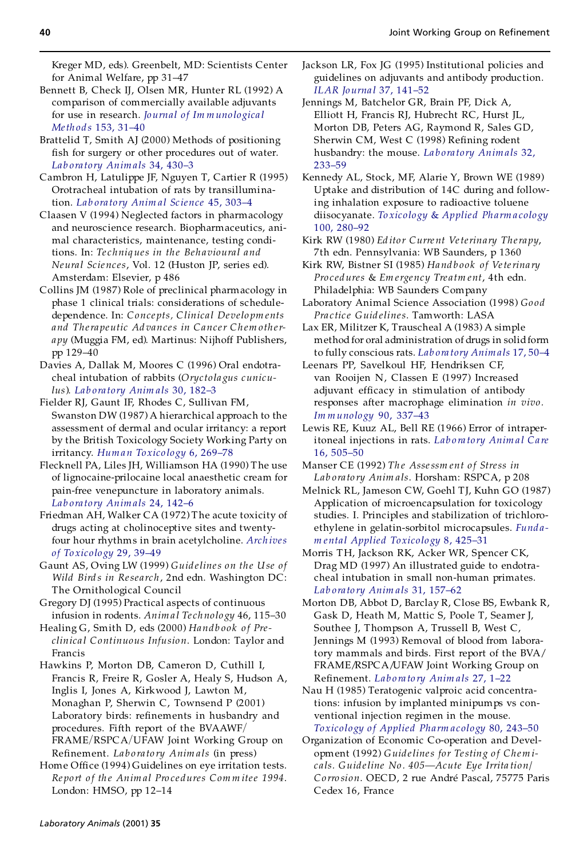Kreger MD, eds). Greenbelt, MD: Scientists Center for Animal Welfare, pp 31-47

- Bennett B, Check IJ, Olsen MR, Hunter RL (1992) A comparison of commercially available adjuvants for use in research. *[Journal](http://masetto.ingentaselect.com/nw=1/rpsv/cgi-bin/linker?ext=a&reqidx=/0022-1759^28^29153L.31[aid=555973,nlm=1517600]) of Im m uno logica l Methods* 153, 31-40
- Brattelid T, Smith AJ (2000) Methods of positioning fish for surgery or other procedures out of water. *Lab ora to ry Anim als* 34, [430±3](http://masetto.ingentaselect.com/nw=1/rpsv/cgi-bin/linker?ext=a&reqidx=/0023-6772^28^2934L.430[aid=555974,nlm=11072865])
- Cambron H, Latulippe JF, Nguyen T, Cartier R (1995) Orotracheal intubation of rats by transillumination. *Lab ora to ry Anim al Sc ience* 45, [303±4](http://masetto.ingentaselect.com/nw=1/rpsv/cgi-bin/linker?ext=a&reqidx=/0023-6764^28^2945L.303[aid=555975,csa=0023-6764^26vol=45^26iss=3^26firstpage=303,nlm=7650904])
- Claasen V (1994) Neglected factors in pharmacology and neuroscience research. Biopharmaceutics, animal characteristics, maintenance, testing conditions. In: *Te chniq ues in the Beh avioura l and Neura l Scienc es*, Vol. 12 (Huston JP, series ed). Amsterdam: Elsevier, p 486
- Collins JM (1987) Role of preclinical pharmacology in phase 1 clinical trials: considerations of schedule dependence. In: *Conce pts, Clinical Develo pm ents and Therapeutic Ad vances in Cancer Ch em other apy* (Muggia FM, ed). Martinus: Nijhoff Publishers, pp 129-40
- Davies A, Dallak M, Moores C (1996) Oral endotracheal intubation of rabbits (Oryctola gus cunicu*lus*). *Lab ora to ry Anim als* 30, [182±3](http://masetto.ingentaselect.com/nw=1/rpsv/cgi-bin/linker?ext=a&reqidx=/0023-6772^28^2930L.182[aid=555976,csa=0023-6772^26vol=30^26iss=2^26firstpage=182,nlm=8783181])
- Fielder RJ, Gaunt IF, Rhodes C, Sullivan FM, Swanston DW (1987) A hierarchical approach to the assessment of dermal and ocular irritancy: a report by the British Toxicology Society Working Party on irritancy. Human Toxicology 6, 269-78
- Flecknell PA, Liles JH, Williamson HA (1990) The use of lignocaine-prilocaine local anaesthetic cream for pain-free venepuncture in laboratory animals. *Lab ora to ry Anim als* 24, [142±6](http://masetto.ingentaselect.com/nw=1/rpsv/cgi-bin/linker?ext=a&reqidx=/0023-6772^28^2924L.142[aid=555978,csa=0023-6772^26vol=24^26iss=2^26firstpage=142,nlm=2366511])
- Friedman AH, Walker CA (1972) The acute toxicity of drugs acting at cholinoceptive sites and twentyfour hour rhythms in brain acetylcholine. *[Arch](http://masetto.ingentaselect.com/nw=1/rpsv/cgi-bin/linker?ext=a&reqidx=/0340-5761^28^2929L.39[aid=555979]) ives of To [xicology](http://masetto.ingentaselect.com/nw=1/rpsv/cgi-bin/linker?ext=a&reqidx=/0340-5761^28^2929L.39[aid=555979])* 29, 39±49
- Gaunt AS, Oving LW (1999) *Guidelines on the Use of Wild Bird s in Rese arch*, 2nd edn. Washington DC: The Ornithological Council
- Gregory DJ (1995) Practical aspects of continuous infusion in rodents. *Animal Technology* 46, 115-30
- Healing G, Smith D, eds (2000) *Handb ook o f Pre clinica l Continuous Infusion*. London: Taylor and Francis
- Hawkins P, Morton DB, Cameron D, Cuthill I, Francis R, Freire R, Gosler A, Healy S, Hudson A, Inglis I, Jones A, Kirkwood J, Lawton M, Monaghan P, Sherwin C, Townsend P (2001) Laboratory birds: refinements in husbandry and procedures. Fifth report of the BVAAWF/ FRAME/RSPCA/UFAW Joint Working Group on Re®nement. *La b o ra to ry Anim als* (in press)
- Home Office (1994) Guidelines on eye irritation tests. *Re po rt o f th e Anim al Pro ce dures Com m itee 1994*. London: HMSO, pp 12-14
- Jackson LR, Fox JG (1995) Institutional policies and guidelines on adjuvants and antibody produc tion. *ILAR Jo urna l* 37, [141±52](http://masetto.ingentaselect.com/nw=1/rpsv/cgi-bin/linker?ext=a&reqidx=/1084-2020^28^2937L.141[aid=555981])
- Jennings M, Batchelor GR, Brain PF, Dick A, Elliott H, Francis RJ, Hubrecht RC, Hurst JL, Morton DB, Peters AG, Raymond R, Sales GD, Sherwin CM, West C (1998) Refining rodent husbandry: the mouse. *La b ora to ry [Anim](http://masetto.ingentaselect.com/nw=1/rpsv/cgi-bin/linker?ext=a&reqidx=/0023-6772^28^2932L.233[aid=555982,csa=0023-6772^26vol=32^26iss=3^26firstpage=233,nlm=9718472]) als* 32, [233±59](http://masetto.ingentaselect.com/nw=1/rpsv/cgi-bin/linker?ext=a&reqidx=/0023-6772^28^2932L.233[aid=555982,csa=0023-6772^26vol=32^26iss=3^26firstpage=233,nlm=9718472])
- Kennedy AL, Stock, MF, Alarie Y, Brown WE (1989) Uptake and distribution of 14C during and following inhalation exposure to radioactive toluene diisocyanate. *To [xicology](http://masetto.ingentaselect.com/nw=1/rpsv/cgi-bin/linker?ext=a&reqidx=/0041-008X^28^29100L.280[aid=555983,csa=0041-008X^26vol=100^26iss=2^26firstpage=280])* & *Applied Ph arm a cology* 100, [280±92](http://masetto.ingentaselect.com/nw=1/rpsv/cgi-bin/linker?ext=a&reqidx=/0041-008X^28^29100L.280[aid=555983,csa=0041-008X^26vol=100^26iss=2^26firstpage=280])
- Kirk RW (1980) *Ed ito r Curre nt Veterinary Therapy*, 7th edn. Pennsylvania: WB Saunders, p 1360
- Kirk RW, Bistner SI (1985) *Hand b ook of Veterina ry Pro c edures* & *Em ergency Tre atm ent*, 4th edn. Philadelphia: WB Saunders Company
- Laboratory Animal Science Association (1998) *Go od Pra c tic e Guid elines*. Tamworth: LASA
- Lax ER, Militzer K, Trauscheal A (1983) A simple method for oral administration of drugs in solidform to fully conscious rats. *Lab ora tory [Anim](http://masetto.ingentaselect.com/nw=1/rpsv/cgi-bin/linker?ext=a&reqidx=/0023-6772^28^2917L.50[aid=555984,nlm=6865310]) als* 17, 50±4
- Leenars PP, Savelkoul HF, Hendriksen CF, van Rooijen N, Classen E (1997) Increased adjuvant efficacy in stimulation of antibody responses after macrophage elimination *in vivo. Im m [unology](http://masetto.ingentaselect.com/nw=1/rpsv/cgi-bin/linker?ext=a&reqidx=/0019-2805^28^2990L.337[aid=555988,nlm=9155638])* 90, 337±43
- Lewis RE, Kuuz AL, Bell RE (1966) Error of intraperitoneal injections in rats. *Lab o ra to ry [Anim](http://masetto.ingentaselect.com/nw=1/rpsv/cgi-bin/linker?ext=a&reqidx=/0094-5331^28^2916L.505[aid=555989,nlm=4291449]) a l Ca re* 16, [505±50](http://masetto.ingentaselect.com/nw=1/rpsv/cgi-bin/linker?ext=a&reqidx=/0094-5331^28^2916L.505[aid=555989,nlm=4291449])
- Manser CE (1992) *Th e Assessm ent o f Stress in Lab ora to ry Anim als*. Horsham: RSPCA, p 208
- Melnick RL, Jameson CW, Goehl TJ, Kuhn GO (1987) Application of microencapsulation for toxicology studies. I. Principles and stabilization of trichloroethylene in gelatin-sorbitol microcapsules. *[Fund](http://masetto.ingentaselect.com/nw=1/rpsv/cgi-bin/linker?ext=a&reqidx=/0272-0590^28^298L.425[aid=555985,csa=0272-0590^26vol=8^26iss=4^26firstpage=425,nlm=3609532]) a m enta l Applied [Toxicolo](http://masetto.ingentaselect.com/nw=1/rpsv/cgi-bin/linker?ext=a&reqidx=/0272-0590^28^298L.425[aid=555985,csa=0272-0590^26vol=8^26iss=4^26firstpage=425,nlm=3609532]) gy* 8, 425±31
- Morris TH, Jackson RK, Acker WR, Spencer CK, Drag MD (1997) An illustrated guide to endotra cheal intubation in small non-human primates. *Lab ora to ry Anim als* 31, [157±62](http://masetto.ingentaselect.com/nw=1/rpsv/cgi-bin/linker?ext=a&reqidx=/0023-6772^28^2931L.157[aid=555986,csa=0023-6772^26vol=31^26iss=2^26firstpage=157,nlm=9175013])
- Morton DB, Abbot D, Barclay R, Close BS, Ewbank R, Gask D, Heath M, Mattic S, Poole T, Seamer J, Southee J, Thompson A, Trussell B, West C, Jennings M (1993) Removal of blood from laboratory mammals and birds. First report of the BVA/ FRAME/RSPCA/UFAW Joint Working Group on Refinement. *Laboratory [Anim](http://masetto.ingentaselect.com/nw=1/rpsv/cgi-bin/linker?ext=a&reqidx=/0023-6772^28^2927L.1[aid=309897,csa=0023-6772^26vol=27^26iss=1^26firstpage=1,nlm=8437430])als* 27, 1-22
- Nau H (1985) Teratogenic valproic acid concentrations: infusion by implanted minipumps vs con ventional injection regimen in the mouse. *[Toxicology](http://masetto.ingentaselect.com/nw=1/rpsv/cgi-bin/linker?ext=a&reqidx=/0041-008X^28^2980L.243[aid=555987,csa=0041-008X^26vol=80^26iss=2^26firstpage=243]) o f Applied Pharm acology* 80, 243±50
- Organization of Economic Co-operation and Development (1992) *Guidelines fo r Testing o f Chem i cals. Guideline No . 405ÐAcute Eye Irrita tion/* Corrosion. OECD, 2 rue André Pascal, 75775 Paris Cedex 16, France